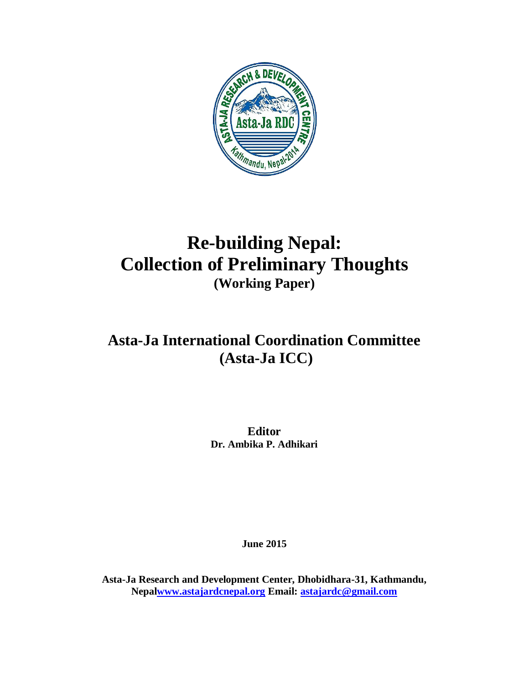

# **Re-building Nepal: Collection of Preliminary Thoughts (Working Paper)**

# **Asta-Ja International Coordination Committee (Asta-Ja ICC)**

**Editor Dr. Ambika P. Adhikari**

**June 2015**

**Asta-Ja Research and Development Center, Dhobidhara-31, Kathmandu, Nepa[lwww.astajardcnepal.org](http://www.astajardcnepal.org/) Email: [astajardc@gmail.com](mailto:astajardc@gmail.com)**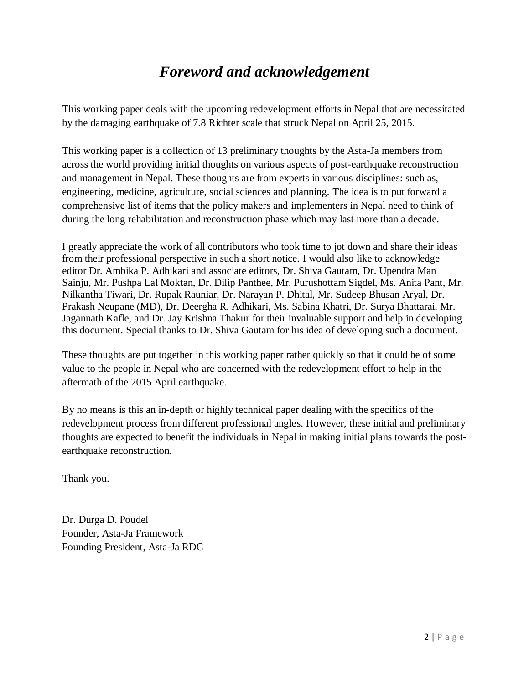## *Foreword and acknowledgement*

This working paper deals with the upcoming redevelopment efforts in Nepal that are necessitated by the damaging earthquake of 7.8 Richter scale that struck Nepal on April 25, 2015.

This working paper is a collection of 13 preliminary thoughts by the Asta-Ja members from across the world providing initial thoughts on various aspects of post-earthquake reconstruction and management in Nepal. These thoughts are from experts in various disciplines: such as, engineering, medicine, agriculture, social sciences and planning. The idea is to put forward a comprehensive list of items that the policy makers and implementers in Nepal need to think of during the long rehabilitation and reconstruction phase which may last more than a decade.

I greatly appreciate the work of all contributors who took time to jot down and share their ideas from their professional perspective in such a short notice. I would also like to acknowledge editor Dr. Ambika P. Adhikari and associate editors, Dr. Shiva Gautam, Dr. Upendra Man Sainju, Mr. Pushpa Lal Moktan, Dr. Dilip Panthee, Mr. Purushottam Sigdel, Ms. Anita Pant, Mr. Nilkantha Tiwari, Dr. Rupak Rauniar, Dr. Narayan P. Dhital, Mr. Sudeep Bhusan Aryal, Dr. Prakash Neupane (MD), Dr. Deergha R. Adhikari, Ms. Sabina Khatri, Dr. Surya Bhattarai, Mr. Jagannath Kafle, and Dr. Jay Krishna Thakur for their invaluable support and help in developing this document. Special thanks to Dr. Shiva Gautam for his idea of developing such a document.

These thoughts are put together in this working paper rather quickly so that it could be of some value to the people in Nepal who are concerned with the redevelopment effort to help in the aftermath of the 2015 April earthquake.

By no means is this an in-depth or highly technical paper dealing with the specifics of the redevelopment process from different professional angles. However, these initial and preliminary thoughts are expected to benefit the individuals in Nepal in making initial plans towards the postearthquake reconstruction.

Thank you.

Dr. Durga D. Poudel Founder, Asta-Ja Framework Founding President, Asta-Ja RDC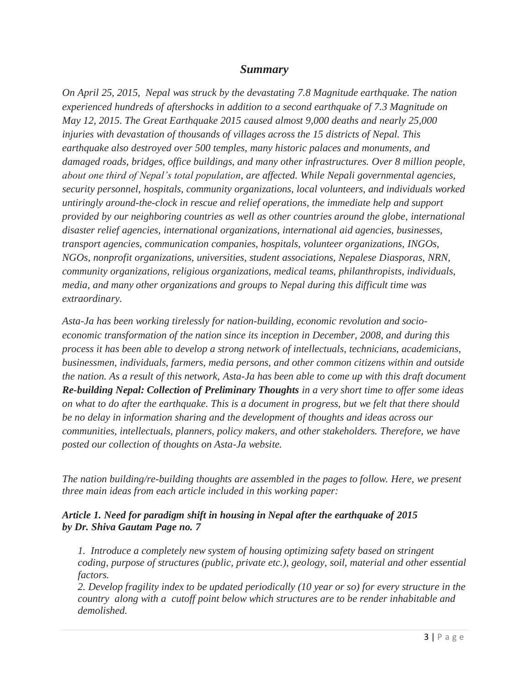#### *Summary*

*On April 25, 2015, Nepal was struck by the devastating 7.8 Magnitude earthquake. The nation experienced hundreds of aftershocks in addition to a second earthquake of 7.3 Magnitude on May 12, 2015. The Great Earthquake 2015 caused almost 9,000 deaths and nearly 25,000 injuries with devastation of thousands of villages across the 15 districts of Nepal. This earthquake also destroyed over 500 temples, many historic palaces and monuments, and damaged roads, bridges, office buildings, and many other infrastructures. Over 8 million people, about one third of Nepal's total population, are affected. While Nepali governmental agencies, security personnel, hospitals, community organizations, local volunteers, and individuals worked untiringly around-the-clock in rescue and relief operations, the immediate help and support provided by our neighboring countries as well as other countries around the globe, international disaster relief agencies, international organizations, international aid agencies, businesses, transport agencies, communication companies, hospitals, volunteer organizations, INGOs, NGOs, nonprofit organizations, universities, student associations, Nepalese Diasporas, NRN, community organizations, religious organizations, medical teams, philanthropists, individuals, media, and many other organizations and groups to Nepal during this difficult time was extraordinary.* 

*Asta-Ja has been working tirelessly for nation-building, economic revolution and socioeconomic transformation of the nation since its inception in December, 2008, and during this process it has been able to develop a strong network of intellectuals, technicians, academicians, businessmen, individuals, farmers, media persons, and other common citizens within and outside the nation. As a result of this network, Asta-Ja has been able to come up with this draft document Re-building Nepal: Collection of Preliminary Thoughts in a very short time to offer some ideas on what to do after the earthquake. This is a document in progress, but we felt that there should be no delay in information sharing and the development of thoughts and ideas across our communities, intellectuals, planners, policy makers, and other stakeholders. Therefore, we have posted our collection of thoughts on Asta-Ja website.*

*The nation building/re-building thoughts are assembled in the pages to follow. Here, we present three main ideas from each article included in this working paper:*

#### *Article 1. Need for paradigm shift in housing in Nepal after the earthquake of 2015 by Dr. Shiva Gautam Page no. 7*

*1. Introduce a completely new system of housing optimizing safety based on stringent coding, purpose of structures (public, private etc.), geology, soil, material and other essential factors.*

*2. Develop fragility index to be updated periodically (10 year or so) for every structure in the country along with a cutoff point below which structures are to be render inhabitable and demolished.*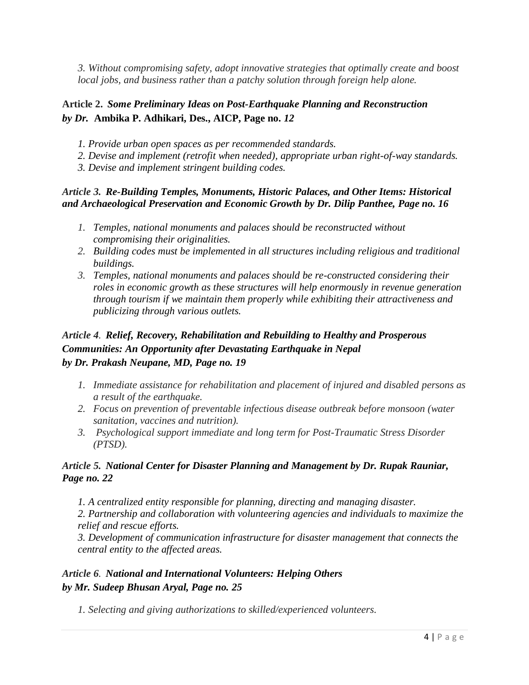*3. Without compromising safety, adopt innovative strategies that optimally create and boost local jobs, and business rather than a patchy solution through foreign help alone.*

#### **Article 2.** *Some Preliminary Ideas on Post-Earthquake Planning and Reconstruction by Dr.* **Ambika P. Adhikari, Des., AICP, Page no.** *12*

- *1. Provide urban open spaces as per recommended standards.*
- *2. Devise and implement (retrofit when needed), appropriate urban right-of-way standards.*
- *3. Devise and implement stringent building codes.*

#### *Article 3. Re-Building Temples, Monuments, Historic Palaces, and Other Items: Historical and Archaeological Preservation and Economic Growth by Dr. Dilip Panthee, Page no. 16*

- *1. Temples, national monuments and palaces should be reconstructed without compromising their originalities.*
- *2. Building codes must be implemented in all structures including religious and traditional buildings.*
- *3. Temples, national monuments and palaces should be re-constructed considering their roles in economic growth as these structures will help enormously in revenue generation through tourism if we maintain them properly while exhibiting their attractiveness and publicizing through various outlets.*

#### *Article 4. Relief, Recovery, Rehabilitation and Rebuilding to Healthy and Prosperous Communities: An Opportunity after Devastating Earthquake in Nepal by Dr. Prakash Neupane, MD, Page no. 19*

- *1. Immediate assistance for rehabilitation and placement of injured and disabled persons as a result of the earthquake.*
- *2. Focus on prevention of preventable infectious disease outbreak before monsoon (water sanitation, vaccines and nutrition).*
- *3. Psychological support immediate and long term for Post-Traumatic Stress Disorder (PTSD).*

#### *Article 5. National Center for Disaster Planning and Management by Dr. Rupak Rauniar, Page no. 22*

*1. A centralized entity responsible for planning, directing and managing disaster.*

*2. Partnership and collaboration with volunteering agencies and individuals to maximize the relief and rescue efforts.*

*3. Development of communication infrastructure for disaster management that connects the central entity to the affected areas.*

#### *Article 6. National and International Volunteers: Helping Others by Mr. Sudeep Bhusan Aryal, Page no. 25*

*1. Selecting and giving authorizations to skilled/experienced volunteers.*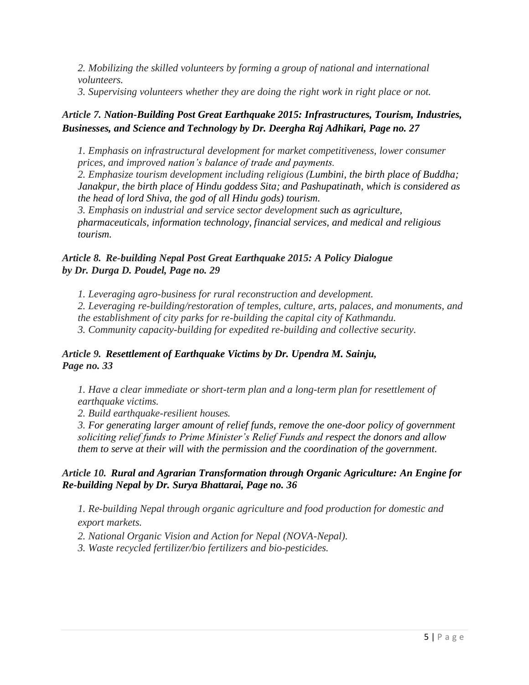*2. Mobilizing the skilled volunteers by forming a group of national and international volunteers.*

*3. Supervising volunteers whether they are doing the right work in right place or not.*

#### *Article 7. Nation-Building Post Great Earthquake 2015: Infrastructures, Tourism, Industries, Businesses, and Science and Technology by Dr. Deergha Raj Adhikari, Page no. 27*

*1. Emphasis on infrastructural development for market competitiveness, lower consumer prices, and improved nation's balance of trade and payments.* 

*2. Emphasize tourism development including religious (Lumbini, the birth place of Buddha; Janakpur, the birth place of Hindu goddess Sita; and Pashupatinath, which is considered as the head of lord Shiva, the god of all Hindu gods) tourism.*

*3. Emphasis on industrial and service sector development such as agriculture, pharmaceuticals, information technology, financial services, and medical and religious tourism.*

#### *Article 8. Re-building Nepal Post Great Earthquake 2015: A Policy Dialogue by Dr. Durga D. Poudel, Page no. 29*

*1. Leveraging agro-business for rural reconstruction and development. 2. Leveraging re-building/restoration of temples, culture, arts, palaces, and monuments, and the establishment of city parks for re-building the capital city of Kathmandu. 3. Community capacity-building for expedited re-building and collective security.*

#### *Article 9. Resettlement of Earthquake Victims by Dr. Upendra M. Sainju, Page no. 33*

*1. Have a clear immediate or short-term plan and a long-term plan for resettlement of earthquake victims.* 

*2. Build earthquake-resilient houses.* 

*3. For generating larger amount of relief funds, remove the one-door policy of government soliciting relief funds to Prime Minister's Relief Funds and respect the donors and allow them to serve at their will with the permission and the coordination of the government.*

#### *Article 10. Rural and Agrarian Transformation through Organic Agriculture: An Engine for Re-building Nepal by Dr. Surya Bhattarai, Page no. 36*

*1. Re-building Nepal through organic agriculture and food production for domestic and export markets.*

*2. National Organic Vision and Action for Nepal (NOVA-Nepal).*

*3. Waste recycled fertilizer/bio fertilizers and bio-pesticides.*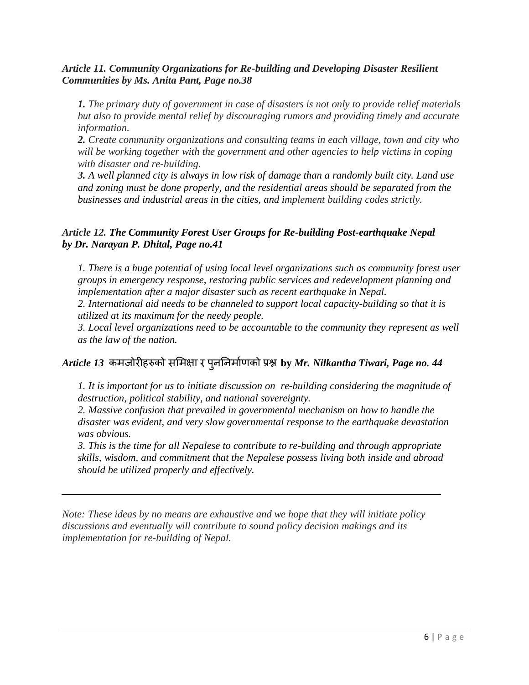#### *Article 11. Community Organizations for Re-building and Developing Disaster Resilient Communities by Ms. Anita Pant, Page no.38*

*1. The primary duty of government in case of disasters is not only to provide relief materials but also to provide mental relief by discouraging rumors and providing timely and accurate information.*

*2. Create community organizations and consulting teams in each village, town and city who will be working together with the government and other agencies to help victims in coping with disaster and re-building.*

*3. A well planned city is always in low risk of damage than a randomly built city. Land use and zoning must be done properly, and the residential areas should be separated from the businesses and industrial areas in the cities, and implement building codes strictly.*

#### *Article 12. The Community Forest User Groups for Re-building Post-earthquake Nepal by Dr. Narayan P. Dhital, Page no.41*

*1. There is a huge potential of using local level organizations such as community forest user groups in emergency response, restoring public services and redevelopment planning and implementation after a major disaster such as recent earthquake in Nepal.*

*2. International aid needs to be channeled to support local capacity-building so that it is utilized at its maximum for the needy people.*

*3. Local level organizations need to be accountable to the community they represent as well as the law of the nation.*

#### *Article 13* **by** *Mr. Nilkantha Tiwari, Page no. 44*

*1. It is important for us to initiate discussion on re-building considering the magnitude of destruction, political stability, and national sovereignty.*

*2. Massive confusion that prevailed in governmental mechanism on how to handle the disaster was evident, and very slow governmental response to the earthquake devastation was obvious.*

*3. This is the time for all Nepalese to contribute to re-building and through appropriate skills, wisdom, and commitment that the Nepalese possess living both inside and abroad should be utilized properly and effectively.* 

*Note: These ideas by no means are exhaustive and we hope that they will initiate policy discussions and eventually will contribute to sound policy decision makings and its implementation for re-building of Nepal.*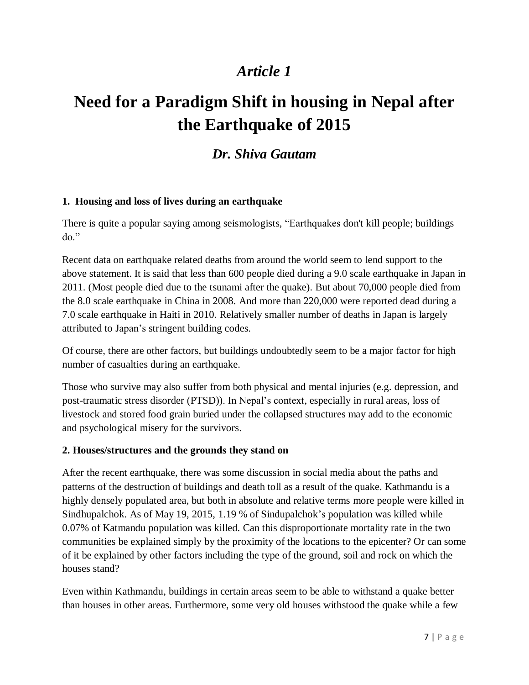# **Need for a Paradigm Shift in housing in Nepal after the Earthquake of 2015**

### *Dr. Shiva Gautam*

#### **1. Housing and loss of lives during an earthquake**

There is quite a popular saying among seismologists, "Earthquakes don't kill people; buildings do."

Recent data on earthquake related deaths from around the world seem to lend support to the above statement. It is said that less than 600 people died during a 9.0 scale earthquake in Japan in 2011. (Most people died due to the tsunami after the quake). But about 70,000 people died from the 8.0 scale earthquake in China in 2008. And more than 220,000 were reported dead during a 7.0 scale earthquake in Haiti in 2010. Relatively smaller number of deaths in Japan is largely attributed to Japan's stringent building codes.

Of course, there are other factors, but buildings undoubtedly seem to be a major factor for high number of casualties during an earthquake.

Those who survive may also suffer from both physical and mental injuries (e.g. depression, and post-traumatic stress disorder (PTSD)). In Nepal's context, especially in rural areas, loss of livestock and stored food grain buried under the collapsed structures may add to the economic and psychological misery for the survivors.

#### **2. Houses/structures and the grounds they stand on**

After the recent earthquake, there was some discussion in social media about the paths and patterns of the destruction of buildings and death toll as a result of the quake. Kathmandu is a highly densely populated area, but both in absolute and relative terms more people were killed in Sindhupalchok. As of May 19, 2015, 1.19 % of Sindupalchok's population was killed while 0.07% of Katmandu population was killed. Can this disproportionate mortality rate in the two communities be explained simply by the proximity of the locations to the epicenter? Or can some of it be explained by other factors including the type of the ground, soil and rock on which the houses stand?

Even within Kathmandu, buildings in certain areas seem to be able to withstand a quake better than houses in other areas. Furthermore, some very old houses withstood the quake while a few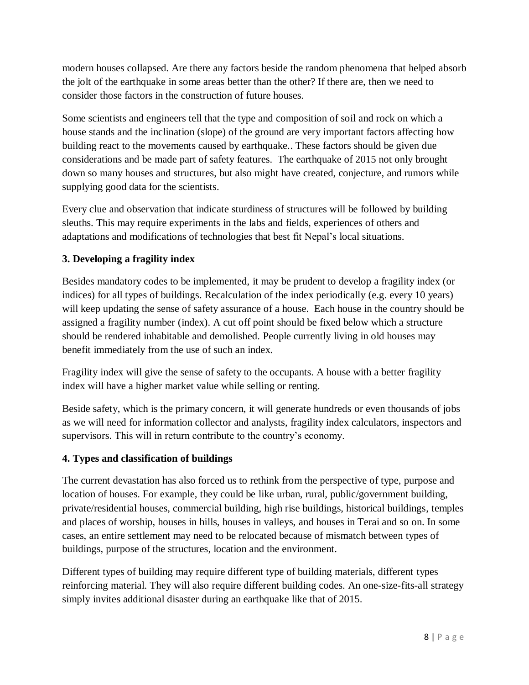modern houses collapsed. Are there any factors beside the random phenomena that helped absorb the jolt of the earthquake in some areas better than the other? If there are, then we need to consider those factors in the construction of future houses.

Some scientists and engineers tell that the type and composition of soil and rock on which a house stands and the inclination (slope) of the ground are very important factors affecting how building react to the movements caused by earthquake.. These factors should be given due considerations and be made part of safety features. The earthquake of 2015 not only brought down so many houses and structures, but also might have created, conjecture, and rumors while supplying good data for the scientists.

Every clue and observation that indicate sturdiness of structures will be followed by building sleuths. This may require experiments in the labs and fields, experiences of others and adaptations and modifications of technologies that best fit Nepal's local situations.

#### **3. Developing a fragility index**

Besides mandatory codes to be implemented, it may be prudent to develop a fragility index (or indices) for all types of buildings. Recalculation of the index periodically (e.g. every 10 years) will keep updating the sense of safety assurance of a house. Each house in the country should be assigned a fragility number (index). A cut off point should be fixed below which a structure should be rendered inhabitable and demolished. People currently living in old houses may benefit immediately from the use of such an index.

Fragility index will give the sense of safety to the occupants. A house with a better fragility index will have a higher market value while selling or renting.

Beside safety, which is the primary concern, it will generate hundreds or even thousands of jobs as we will need for information collector and analysts, fragility index calculators, inspectors and supervisors. This will in return contribute to the country's economy.

#### **4. Types and classification of buildings**

The current devastation has also forced us to rethink from the perspective of type, purpose and location of houses. For example, they could be like urban, rural, public/government building, private/residential houses, commercial building, high rise buildings, historical buildings, temples and places of worship, houses in hills, houses in valleys, and houses in Terai and so on. In some cases, an entire settlement may need to be relocated because of mismatch between types of buildings, purpose of the structures, location and the environment.

Different types of building may require different type of building materials, different types reinforcing material. They will also require different building codes. An one-size-fits-all strategy simply invites additional disaster during an earthquake like that of 2015.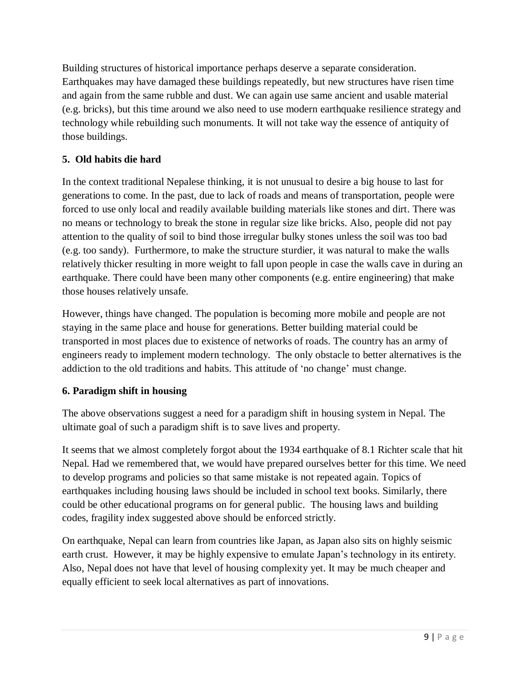Building structures of historical importance perhaps deserve a separate consideration. Earthquakes may have damaged these buildings repeatedly, but new structures have risen time and again from the same rubble and dust. We can again use same ancient and usable material (e.g. bricks), but this time around we also need to use modern earthquake resilience strategy and technology while rebuilding such monuments. It will not take way the essence of antiquity of those buildings.

#### **5. Old habits die hard**

In the context traditional Nepalese thinking, it is not unusual to desire a big house to last for generations to come. In the past, due to lack of roads and means of transportation, people were forced to use only local and readily available building materials like stones and dirt. There was no means or technology to break the stone in regular size like bricks. Also, people did not pay attention to the quality of soil to bind those irregular bulky stones unless the soil was too bad (e.g. too sandy). Furthermore, to make the structure sturdier, it was natural to make the walls relatively thicker resulting in more weight to fall upon people in case the walls cave in during an earthquake. There could have been many other components (e.g. entire engineering) that make those houses relatively unsafe.

However, things have changed. The population is becoming more mobile and people are not staying in the same place and house for generations. Better building material could be transported in most places due to existence of networks of roads. The country has an army of engineers ready to implement modern technology. The only obstacle to better alternatives is the addiction to the old traditions and habits. This attitude of 'no change' must change.

#### **6. Paradigm shift in housing**

The above observations suggest a need for a paradigm shift in housing system in Nepal. The ultimate goal of such a paradigm shift is to save lives and property.

It seems that we almost completely forgot about the 1934 earthquake of 8.1 Richter scale that hit Nepal. Had we remembered that, we would have prepared ourselves better for this time. We need to develop programs and policies so that same mistake is not repeated again. Topics of earthquakes including housing laws should be included in school text books. Similarly, there could be other educational programs on for general public. The housing laws and building codes, fragility index suggested above should be enforced strictly.

On earthquake, Nepal can learn from countries like Japan, as Japan also sits on highly seismic earth crust. However, it may be highly expensive to emulate Japan's technology in its entirety. Also, Nepal does not have that level of housing complexity yet. It may be much cheaper and equally efficient to seek local alternatives as part of innovations.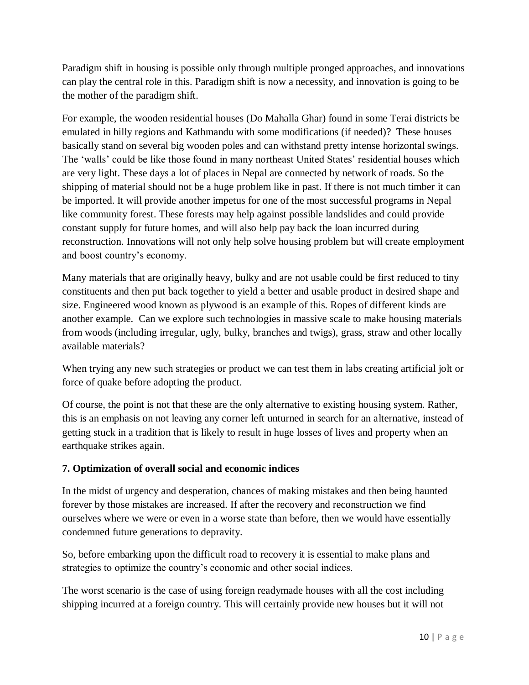Paradigm shift in housing is possible only through multiple pronged approaches, and innovations can play the central role in this. Paradigm shift is now a necessity, and innovation is going to be the mother of the paradigm shift.

For example, the wooden residential houses (Do Mahalla Ghar) found in some Terai districts be emulated in hilly regions and Kathmandu with some modifications (if needed)? These houses basically stand on several big wooden poles and can withstand pretty intense horizontal swings. The 'walls' could be like those found in many northeast United States' residential houses which are very light. These days a lot of places in Nepal are connected by network of roads. So the shipping of material should not be a huge problem like in past. If there is not much timber it can be imported. It will provide another impetus for one of the most successful programs in Nepal like community forest. These forests may help against possible landslides and could provide constant supply for future homes, and will also help pay back the loan incurred during reconstruction. Innovations will not only help solve housing problem but will create employment and boost country's economy.

Many materials that are originally heavy, bulky and are not usable could be first reduced to tiny constituents and then put back together to yield a better and usable product in desired shape and size. Engineered wood known as plywood is an example of this. Ropes of different kinds are another example. Can we explore such technologies in massive scale to make housing materials from woods (including irregular, ugly, bulky, branches and twigs), grass, straw and other locally available materials?

When trying any new such strategies or product we can test them in labs creating artificial jolt or force of quake before adopting the product.

Of course, the point is not that these are the only alternative to existing housing system. Rather, this is an emphasis on not leaving any corner left unturned in search for an alternative, instead of getting stuck in a tradition that is likely to result in huge losses of lives and property when an earthquake strikes again.

#### **7. Optimization of overall social and economic indices**

In the midst of urgency and desperation, chances of making mistakes and then being haunted forever by those mistakes are increased. If after the recovery and reconstruction we find ourselves where we were or even in a worse state than before, then we would have essentially condemned future generations to depravity.

So, before embarking upon the difficult road to recovery it is essential to make plans and strategies to optimize the country's economic and other social indices.

The worst scenario is the case of using foreign readymade houses with all the cost including shipping incurred at a foreign country. This will certainly provide new houses but it will not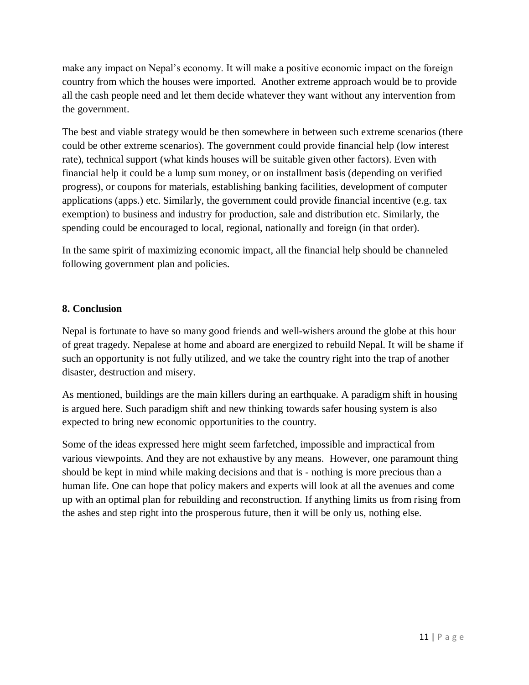make any impact on Nepal's economy. It will make a positive economic impact on the foreign country from which the houses were imported. Another extreme approach would be to provide all the cash people need and let them decide whatever they want without any intervention from the government.

The best and viable strategy would be then somewhere in between such extreme scenarios (there could be other extreme scenarios). The government could provide financial help (low interest rate), technical support (what kinds houses will be suitable given other factors). Even with financial help it could be a lump sum money, or on installment basis (depending on verified progress), or coupons for materials, establishing banking facilities, development of computer applications (apps.) etc. Similarly, the government could provide financial incentive (e.g. tax exemption) to business and industry for production, sale and distribution etc. Similarly, the spending could be encouraged to local, regional, nationally and foreign (in that order).

In the same spirit of maximizing economic impact, all the financial help should be channeled following government plan and policies.

#### **8. Conclusion**

Nepal is fortunate to have so many good friends and well-wishers around the globe at this hour of great tragedy. Nepalese at home and aboard are energized to rebuild Nepal. It will be shame if such an opportunity is not fully utilized, and we take the country right into the trap of another disaster, destruction and misery.

As mentioned, buildings are the main killers during an earthquake. A paradigm shift in housing is argued here. Such paradigm shift and new thinking towards safer housing system is also expected to bring new economic opportunities to the country.

Some of the ideas expressed here might seem farfetched, impossible and impractical from various viewpoints. And they are not exhaustive by any means. However, one paramount thing should be kept in mind while making decisions and that is - nothing is more precious than a human life. One can hope that policy makers and experts will look at all the avenues and come up with an optimal plan for rebuilding and reconstruction. If anything limits us from rising from the ashes and step right into the prosperous future, then it will be only us, nothing else.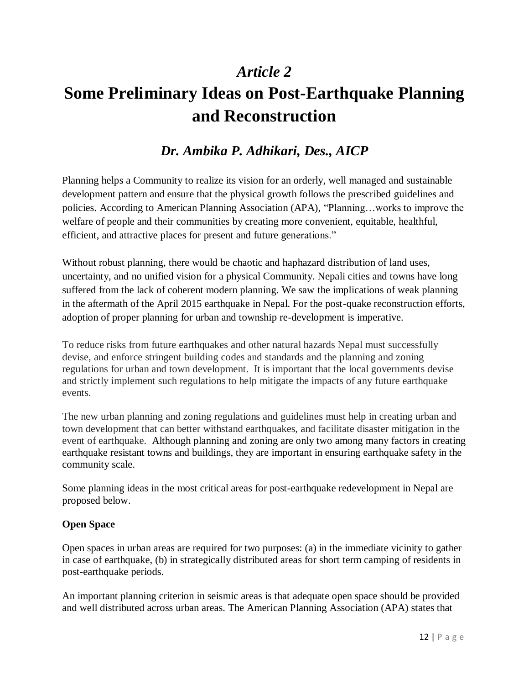# **Some Preliminary Ideas on Post-Earthquake Planning and Reconstruction**

### *Dr. Ambika P. Adhikari, Des., AICP*

Planning helps a Community to realize its vision for an orderly, well managed and sustainable development pattern and ensure that the physical growth follows the prescribed guidelines and policies. According to American Planning Association (APA), "Planning…works to improve the welfare of people and their communities by creating more convenient, equitable, healthful, efficient, and attractive places for present and future generations."

Without robust planning, there would be chaotic and haphazard distribution of land uses, uncertainty, and no unified vision for a physical Community. Nepali cities and towns have long suffered from the lack of coherent modern planning. We saw the implications of weak planning in the aftermath of the April 2015 earthquake in Nepal. For the post-quake reconstruction efforts, adoption of proper planning for urban and township re-development is imperative.

To reduce risks from future earthquakes and other natural hazards Nepal must successfully devise, and enforce stringent building codes and standards and the planning and zoning regulations for urban and town development. It is important that the local governments devise and strictly implement such regulations to help mitigate the impacts of any future earthquake events.

The new urban planning and zoning regulations and guidelines must help in creating urban and town development that can better withstand earthquakes, and facilitate disaster mitigation in the event of earthquake.Although planning and zoning are only two among many factors in creating earthquake resistant towns and buildings, they are important in ensuring earthquake safety in the community scale.

Some planning ideas in the most critical areas for post-earthquake redevelopment in Nepal are proposed below.

#### **Open Space**

Open spaces in urban areas are required for two purposes: (a) in the immediate vicinity to gather in case of earthquake, (b) in strategically distributed areas for short term camping of residents in post-earthquake periods.

An important planning criterion in seismic areas is that adequate open space should be provided and well distributed across urban areas. The American Planning Association (APA) states that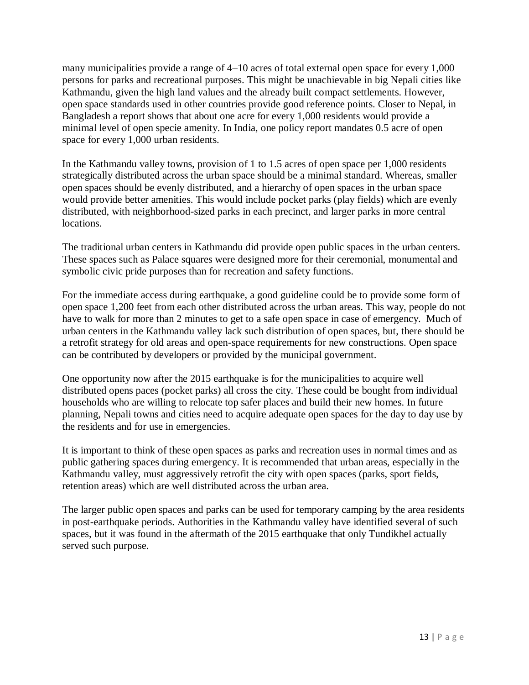many municipalities provide a range of 4–10 acres of total external open space for every 1,000 persons for parks and recreational purposes. This might be unachievable in big Nepali cities like Kathmandu, given the high land values and the already built compact settlements. However, open space standards used in other countries provide good reference points. Closer to Nepal, in Bangladesh a report shows that about one acre for every 1,000 residents would provide a minimal level of open specie amenity. In India, one policy report mandates 0.5 acre of open space for every 1,000 urban residents.

In the Kathmandu valley towns, provision of 1 to 1.5 acres of open space per 1,000 residents strategically distributed across the urban space should be a minimal standard. Whereas, smaller open spaces should be evenly distributed, and a hierarchy of open spaces in the urban space would provide better amenities. This would include pocket parks (play fields) which are evenly distributed, with neighborhood-sized parks in each precinct, and larger parks in more central locations.

The traditional urban centers in Kathmandu did provide open public spaces in the urban centers. These spaces such as Palace squares were designed more for their ceremonial, monumental and symbolic civic pride purposes than for recreation and safety functions.

For the immediate access during earthquake, a good guideline could be to provide some form of open space 1,200 feet from each other distributed across the urban areas. This way, people do not have to walk for more than 2 minutes to get to a safe open space in case of emergency. Much of urban centers in the Kathmandu valley lack such distribution of open spaces, but, there should be a retrofit strategy for old areas and open-space requirements for new constructions. Open space can be contributed by developers or provided by the municipal government.

One opportunity now after the 2015 earthquake is for the municipalities to acquire well distributed opens paces (pocket parks) all cross the city. These could be bought from individual households who are willing to relocate top safer places and build their new homes. In future planning, Nepali towns and cities need to acquire adequate open spaces for the day to day use by the residents and for use in emergencies.

It is important to think of these open spaces as parks and recreation uses in normal times and as public gathering spaces during emergency. It is recommended that urban areas, especially in the Kathmandu valley, must aggressively retrofit the city with open spaces (parks, sport fields, retention areas) which are well distributed across the urban area.

The larger public open spaces and parks can be used for temporary camping by the area residents in post-earthquake periods. Authorities in the Kathmandu valley have identified several of such spaces, but it was found in the aftermath of the 2015 earthquake that only Tundikhel actually served such purpose.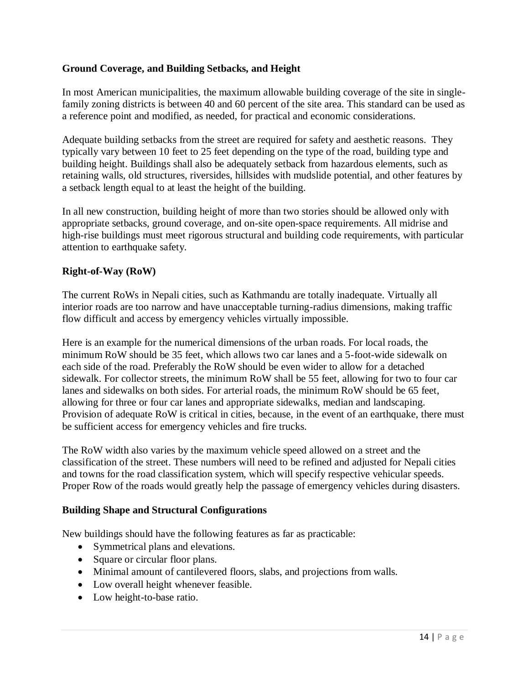#### **Ground Coverage, and Building Setbacks, and Height**

In most American municipalities, the maximum allowable building coverage of the site in singlefamily zoning districts is between 40 and 60 percent of the site area. This standard can be used as a reference point and modified, as needed, for practical and economic considerations.

Adequate building setbacks from the street are required for safety and aesthetic reasons. They typically vary between 10 feet to 25 feet depending on the type of the road, building type and building height. Buildings shall also be adequately setback from hazardous elements, such as retaining walls, old structures, riversides, hillsides with mudslide potential, and other features by a setback length equal to at least the height of the building.

In all new construction, building height of more than two stories should be allowed only with appropriate setbacks, ground coverage, and on-site open-space requirements. All midrise and high-rise buildings must meet rigorous structural and building code requirements, with particular attention to earthquake safety.

#### **Right-of-Way (RoW)**

The current RoWs in Nepali cities, such as Kathmandu are totally inadequate. Virtually all interior roads are too narrow and have unacceptable turning-radius dimensions, making traffic flow difficult and access by emergency vehicles virtually impossible.

Here is an example for the numerical dimensions of the urban roads. For local roads, the minimum RoW should be 35 feet, which allows two car lanes and a 5-foot-wide sidewalk on each side of the road. Preferably the RoW should be even wider to allow for a detached sidewalk. For collector streets, the minimum RoW shall be 55 feet, allowing for two to four car lanes and sidewalks on both sides. For arterial roads, the minimum RoW should be 65 feet, allowing for three or four car lanes and appropriate sidewalks, median and landscaping. Provision of adequate RoW is critical in cities, because, in the event of an earthquake, there must be sufficient access for emergency vehicles and fire trucks.

The RoW width also varies by the maximum vehicle speed allowed on a street and the classification of the street. These numbers will need to be refined and adjusted for Nepali cities and towns for the road classification system, which will specify respective vehicular speeds. Proper Row of the roads would greatly help the passage of emergency vehicles during disasters.

#### **Building Shape and Structural Configurations**

New buildings should have the following features as far as practicable:

- Symmetrical plans and elevations.
- Square or circular floor plans.
- Minimal amount of cantilevered floors, slabs, and projections from walls.
- Low overall height whenever feasible.
- Low height-to-base ratio.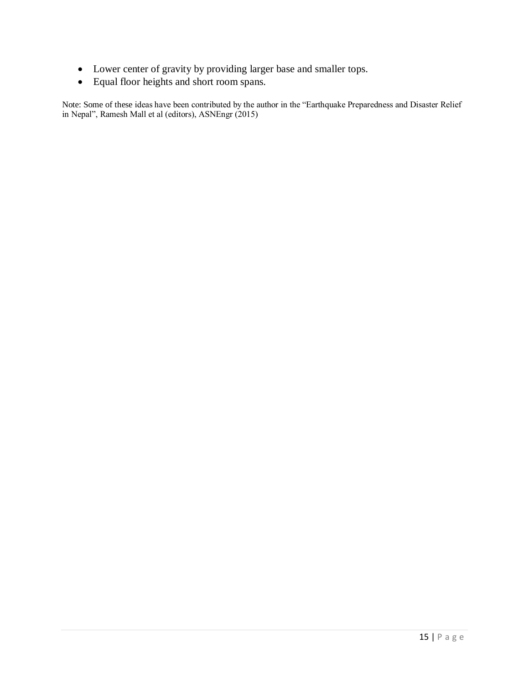- Lower center of gravity by providing larger base and smaller tops.
- Equal floor heights and short room spans.

Note: Some of these ideas have been contributed by the author in the "Earthquake Preparedness and Disaster Relief in Nepal", Ramesh Mall et al (editors), ASNEngr (2015)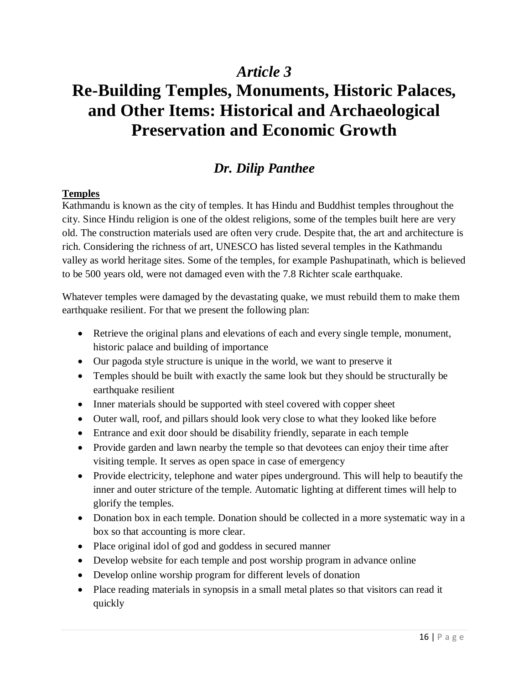# **Re-Building Temples, Monuments, Historic Palaces, and Other Items: Historical and Archaeological Preservation and Economic Growth**

### *Dr. Dilip Panthee*

#### **Temples**

Kathmandu is known as the city of temples. It has Hindu and Buddhist temples throughout the city. Since Hindu religion is one of the oldest religions, some of the temples built here are very old. The construction materials used are often very crude. Despite that, the art and architecture is rich. Considering the richness of art, UNESCO has listed several temples in the Kathmandu valley as world heritage sites. Some of the temples, for example Pashupatinath, which is believed to be 500 years old, were not damaged even with the 7.8 Richter scale earthquake.

Whatever temples were damaged by the devastating quake, we must rebuild them to make them earthquake resilient. For that we present the following plan:

- Retrieve the original plans and elevations of each and every single temple, monument, historic palace and building of importance
- Our pagoda style structure is unique in the world, we want to preserve it
- Temples should be built with exactly the same look but they should be structurally be earthquake resilient
- Inner materials should be supported with steel covered with copper sheet
- Outer wall, roof, and pillars should look very close to what they looked like before
- Entrance and exit door should be disability friendly, separate in each temple
- Provide garden and lawn nearby the temple so that devotees can enjoy their time after visiting temple. It serves as open space in case of emergency
- Provide electricity, telephone and water pipes underground. This will help to beautify the inner and outer stricture of the temple. Automatic lighting at different times will help to glorify the temples.
- Donation box in each temple. Donation should be collected in a more systematic way in a box so that accounting is more clear.
- Place original idol of god and goddess in secured manner
- Develop website for each temple and post worship program in advance online
- Develop online worship program for different levels of donation
- Place reading materials in synopsis in a small metal plates so that visitors can read it quickly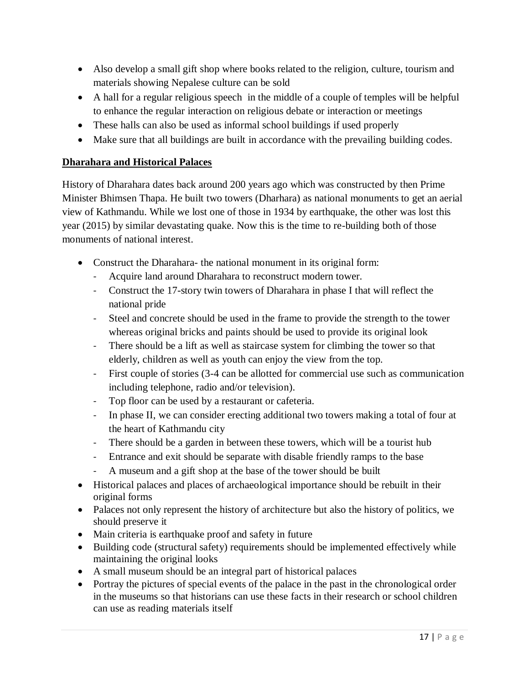- Also develop a small gift shop where books related to the religion, culture, tourism and materials showing Nepalese culture can be sold
- A hall for a regular religious speech in the middle of a couple of temples will be helpful to enhance the regular interaction on religious debate or interaction or meetings
- These halls can also be used as informal school buildings if used properly
- Make sure that all buildings are built in accordance with the prevailing building codes.

#### **Dharahara and Historical Palaces**

History of Dharahara dates back around 200 years ago which was constructed by then Prime Minister Bhimsen Thapa. He built two towers (Dharhara) as national monuments to get an aerial view of Kathmandu. While we lost one of those in 1934 by earthquake, the other was lost this year (2015) by similar devastating quake. Now this is the time to re-building both of those monuments of national interest.

- Construct the Dharahara- the national monument in its original form:
	- Acquire land around Dharahara to reconstruct modern tower.
	- Construct the 17-story twin towers of Dharahara in phase I that will reflect the national pride
	- Steel and concrete should be used in the frame to provide the strength to the tower whereas original bricks and paints should be used to provide its original look
	- There should be a lift as well as staircase system for climbing the tower so that elderly, children as well as youth can enjoy the view from the top.
	- First couple of stories (3-4 can be allotted for commercial use such as communication including telephone, radio and/or television).
	- Top floor can be used by a restaurant or cafeteria.
	- In phase II, we can consider erecting additional two towers making a total of four at the heart of Kathmandu city
	- There should be a garden in between these towers, which will be a tourist hub
	- Entrance and exit should be separate with disable friendly ramps to the base
	- A museum and a gift shop at the base of the tower should be built
- Historical palaces and places of archaeological importance should be rebuilt in their original forms
- Palaces not only represent the history of architecture but also the history of politics, we should preserve it
- Main criteria is earthquake proof and safety in future
- Building code (structural safety) requirements should be implemented effectively while maintaining the original looks
- A small museum should be an integral part of historical palaces
- Portray the pictures of special events of the palace in the past in the chronological order in the museums so that historians can use these facts in their research or school children can use as reading materials itself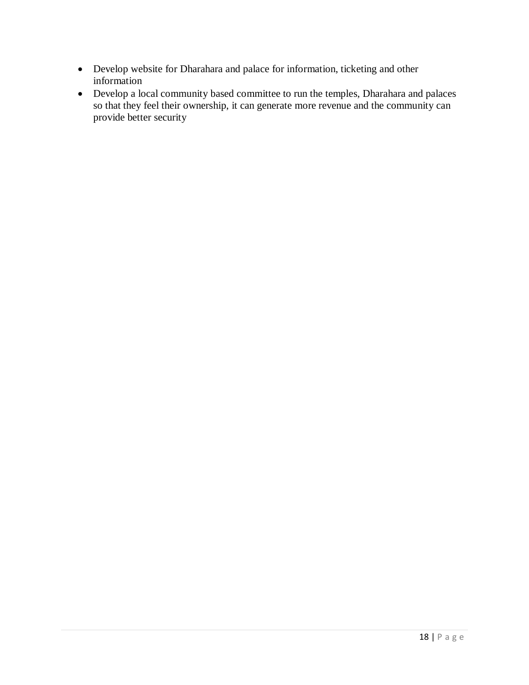- Develop website for Dharahara and palace for information, ticketing and other information
- Develop a local community based committee to run the temples, Dharahara and palaces so that they feel their ownership, it can generate more revenue and the community can provide better security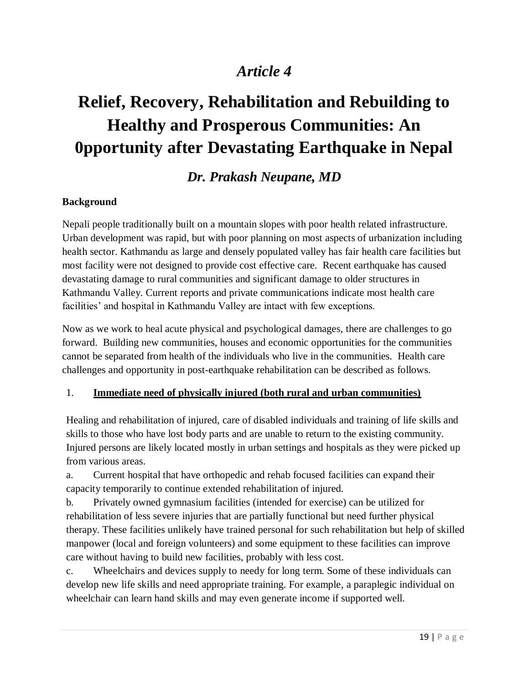# **Relief, Recovery, Rehabilitation and Rebuilding to Healthy and Prosperous Communities: An 0pportunity after Devastating Earthquake in Nepal**

### *Dr. Prakash Neupane, MD*

#### **Background**

Nepali people traditionally built on a mountain slopes with poor health related infrastructure. Urban development was rapid, but with poor planning on most aspects of urbanization including health sector. Kathmandu as large and densely populated valley has fair health care facilities but most facility were not designed to provide cost effective care. Recent earthquake has caused devastating damage to rural communities and significant damage to older structures in Kathmandu Valley. Current reports and private communications indicate most health care facilities' and hospital in Kathmandu Valley are intact with few exceptions.

Now as we work to heal acute physical and psychological damages, there are challenges to go forward. Building new communities, houses and economic opportunities for the communities cannot be separated from health of the individuals who live in the communities. Health care challenges and opportunity in post-earthquake rehabilitation can be described as follows.

#### 1. **Immediate need of physically injured (both rural and urban communities)**

Healing and rehabilitation of injured, care of disabled individuals and training of life skills and skills to those who have lost body parts and are unable to return to the existing community. Injured persons are likely located mostly in urban settings and hospitals as they were picked up from various areas.

a. Current hospital that have orthopedic and rehab focused facilities can expand their capacity temporarily to continue extended rehabilitation of injured.

b. Privately owned gymnasium facilities (intended for exercise) can be utilized for rehabilitation of less severe injuries that are partially functional but need further physical therapy. These facilities unlikely have trained personal for such rehabilitation but help of skilled manpower (local and foreign volunteers) and some equipment to these facilities can improve care without having to build new facilities, probably with less cost.

c. Wheelchairs and devices supply to needy for long term. Some of these individuals can develop new life skills and need appropriate training. For example, a paraplegic individual on wheelchair can learn hand skills and may even generate income if supported well.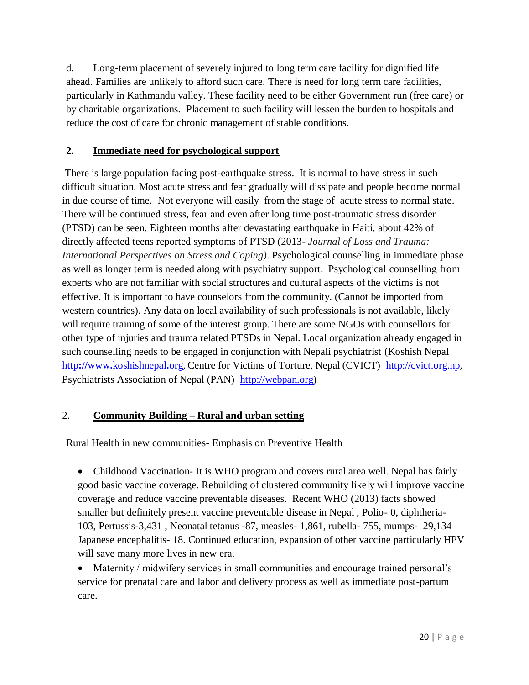d. Long-term placement of severely injured to long term care facility for dignified life ahead. Families are unlikely to afford such care. There is need for long term care facilities, particularly in Kathmandu valley. These facility need to be either Government run (free care) or by charitable organizations. Placement to such facility will lessen the burden to hospitals and reduce the cost of care for chronic management of stable conditions.

#### **2. Immediate need for psychological support**

There is large population facing post-earthquake stress. It is normal to have stress in such difficult situation. Most acute stress and fear gradually will dissipate and people become normal in due course of time. Not everyone will easily from the stage of acute stress to normal state. There will be continued stress, fear and even after long time post-traumatic stress disorder (PTSD) can be seen. Eighteen months after devastating earthquake in Haiti, about 42% of directly affected teens reported symptoms of PTSD (2013- *Journal of Loss and Trauma: International Perspectives on Stress and Coping)*. Psychological counselling in immediate phase as well as longer term is needed along with psychiatry support. Psychological counselling from experts who are not familiar with social structures and cultural aspects of the victims is not effective. It is important to have counselors from the community. (Cannot be imported from western countries). Any data on local availability of such professionals is not available, likely will require training of some of the interest group. There are some NGOs with counsellors for other type of injuries and trauma related PTSDs in Nepal. Local organization already engaged in such counselling needs to be engaged in conjunction with Nepali psychiatrist (Koshish Nepal http**://**www**.**[koshishnepal](http://www.koshishnepal.org/)**.**org, Centre for Victims of Torture, Nepal (CVICT) [http://cvict.org.np](http://cvict.org.np/), Psychiatrists Association of Nepal (PAN) [http://webpan.org](http://webpan.org/))

#### 2. **Community Building – Rural and urban setting**

#### Rural Health in new communities- Emphasis on Preventive Health

• Childhood Vaccination- It is WHO program and covers rural area well. Nepal has fairly good basic vaccine coverage. Rebuilding of clustered community likely will improve vaccine coverage and reduce vaccine preventable diseases. Recent WHO (2013) facts showed smaller but definitely present vaccine preventable disease in Nepal , Polio- 0, diphtheria-103, Pertussis-3,431 , Neonatal tetanus -87, measles- 1,861, rubella- 755, mumps- 29,134 Japanese encephalitis- 18. Continued education, expansion of other vaccine particularly HPV will save many more lives in new era.

 Maternity / midwifery services in small communities and encourage trained personal's service for prenatal care and labor and delivery process as well as immediate post-partum care.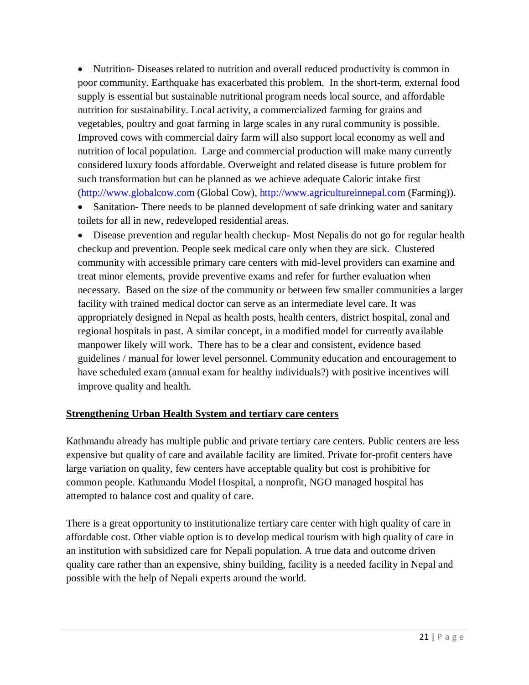• Nutrition-Diseases related to nutrition and overall reduced productivity is common in poor community. Earthquake has exacerbated this problem. In the short-term, external food supply is essential but sustainable nutritional program needs local source, and affordable nutrition for sustainability. Local activity, a commercialized farming for grains and vegetables, poultry and goat farming in large scales in any rural community is possible. Improved cows with commercial dairy farm will also support local economy as well and nutrition of local population. Large and commercial production will make many currently considered luxury foods affordable. Overweight and related disease is future problem for such transformation but can be planned as we achieve adequate Caloric intake first [\(http://www.globalcow.com](http://www.globalcow.com/) (Global Cow), [http://www.agricultureinnepal.com](http://www.agricultureinnepal.com/) (Farming)).

• Sanitation-There needs to be planned development of safe drinking water and sanitary toilets for all in new, redeveloped residential areas.

 Disease prevention and regular health checkup- Most Nepalis do not go for regular health checkup and prevention. People seek medical care only when they are sick. Clustered community with accessible primary care centers with mid-level providers can examine and treat minor elements, provide preventive exams and refer for further evaluation when necessary. Based on the size of the community or between few smaller communities a larger facility with trained medical doctor can serve as an intermediate level care. It was appropriately designed in Nepal as health posts, health centers, district hospital, zonal and regional hospitals in past. A similar concept, in a modified model for currently available manpower likely will work. There has to be a clear and consistent, evidence based guidelines / manual for lower level personnel. Community education and encouragement to have scheduled exam (annual exam for healthy individuals?) with positive incentives will improve quality and health.

#### **Strengthening Urban Health System and tertiary care centers**

Kathmandu already has multiple public and private tertiary care centers. Public centers are less expensive but quality of care and available facility are limited. Private for-profit centers have large variation on quality, few centers have acceptable quality but cost is prohibitive for common people. Kathmandu Model Hospital, a nonprofit, NGO managed hospital has attempted to balance cost and quality of care.

There is a great opportunity to institutionalize tertiary care center with high quality of care in affordable cost. Other viable option is to develop medical tourism with high quality of care in an institution with subsidized care for Nepali population. A true data and outcome driven quality care rather than an expensive, shiny building, facility is a needed facility in Nepal and possible with the help of Nepali experts around the world.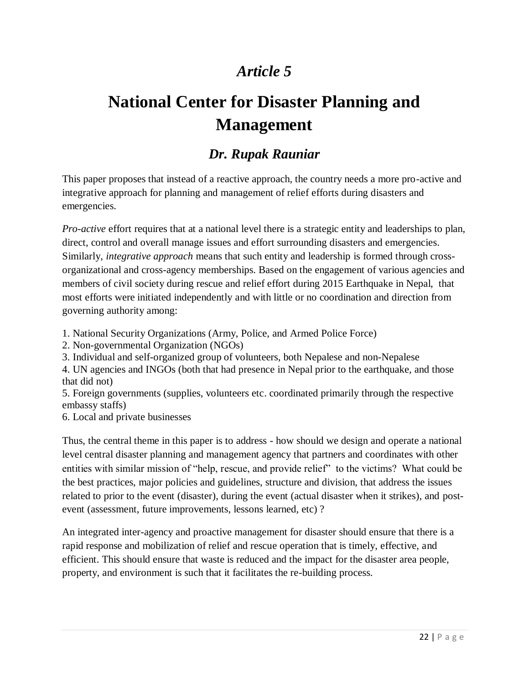# **National Center for Disaster Planning and Management**

### *Dr. Rupak Rauniar*

This paper proposes that instead of a reactive approach, the country needs a more pro-active and integrative approach for planning and management of relief efforts during disasters and emergencies.

*Pro-active* effort requires that at a national level there is a strategic entity and leaderships to plan, direct, control and overall manage issues and effort surrounding disasters and emergencies. Similarly, *integrative approach* means that such entity and leadership is formed through crossorganizational and cross-agency memberships. Based on the engagement of various agencies and members of civil society during rescue and relief effort during 2015 Earthquake in Nepal, that most efforts were initiated independently and with little or no coordination and direction from governing authority among:

- 1. National Security Organizations (Army, Police, and Armed Police Force)
- 2. Non-governmental Organization (NGOs)
- 3. Individual and self-organized group of volunteers, both Nepalese and non-Nepalese

4. UN agencies and INGOs (both that had presence in Nepal prior to the earthquake, and those that did not)

5. Foreign governments (supplies, volunteers etc. coordinated primarily through the respective embassy staffs)

6. Local and private businesses

Thus, the central theme in this paper is to address - how should we design and operate a national level central disaster planning and management agency that partners and coordinates with other entities with similar mission of "help, rescue, and provide relief" to the victims? What could be the best practices, major policies and guidelines, structure and division, that address the issues related to prior to the event (disaster), during the event (actual disaster when it strikes), and postevent (assessment, future improvements, lessons learned, etc) ?

An integrated inter-agency and proactive management for disaster should ensure that there is a rapid response and mobilization of relief and rescue operation that is timely, effective, and efficient. This should ensure that waste is reduced and the impact for the disaster area people, property, and environment is such that it facilitates the re-building process.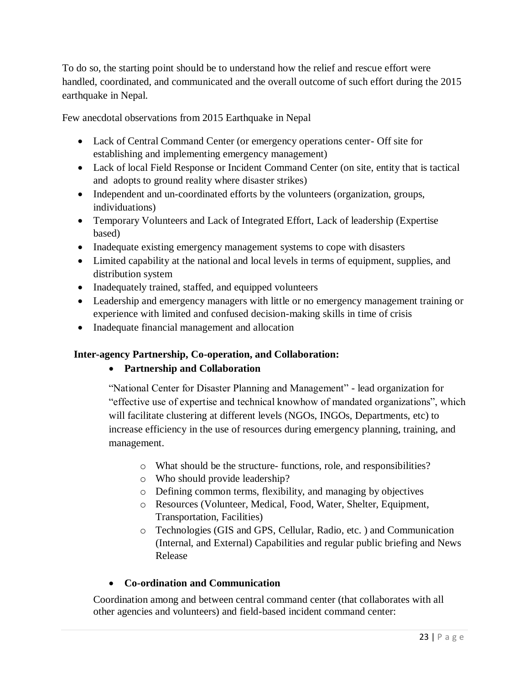To do so, the starting point should be to understand how the relief and rescue effort were handled, coordinated, and communicated and the overall outcome of such effort during the 2015 earthquake in Nepal.

Few anecdotal observations from 2015 Earthquake in Nepal

- Lack of Central Command Center (or emergency operations center- Off site for establishing and implementing emergency management)
- Lack of local Field Response or Incident Command Center (on site, entity that is tactical and adopts to ground reality where disaster strikes)
- Independent and un-coordinated efforts by the volunteers (organization, groups, individuations)
- Temporary Volunteers and Lack of Integrated Effort, Lack of leadership (Expertise based)
- Inadequate existing emergency management systems to cope with disasters
- Limited capability at the national and local levels in terms of equipment, supplies, and distribution system
- Inadequately trained, staffed, and equipped volunteers
- Leadership and emergency managers with little or no emergency management training or experience with limited and confused decision-making skills in time of crisis
- Inadequate financial management and allocation

#### **Inter-agency Partnership, Co-operation, and Collaboration:**

#### **Partnership and Collaboration**

"National Center for Disaster Planning and Management" - lead organization for "effective use of expertise and technical knowhow of mandated organizations", which will facilitate clustering at different levels (NGOs, INGOs, Departments, etc) to increase efficiency in the use of resources during emergency planning, training, and management.

- o What should be the structure- functions, role, and responsibilities?
- o Who should provide leadership?
- o Defining common terms, flexibility, and managing by objectives
- o Resources (Volunteer, Medical, Food, Water, Shelter, Equipment, Transportation, Facilities)
- o Technologies (GIS and GPS, Cellular, Radio, etc. ) and Communication (Internal, and External) Capabilities and regular public briefing and News Release

#### **Co-ordination and Communication**

Coordination among and between central command center (that collaborates with all other agencies and volunteers) and field-based incident command center: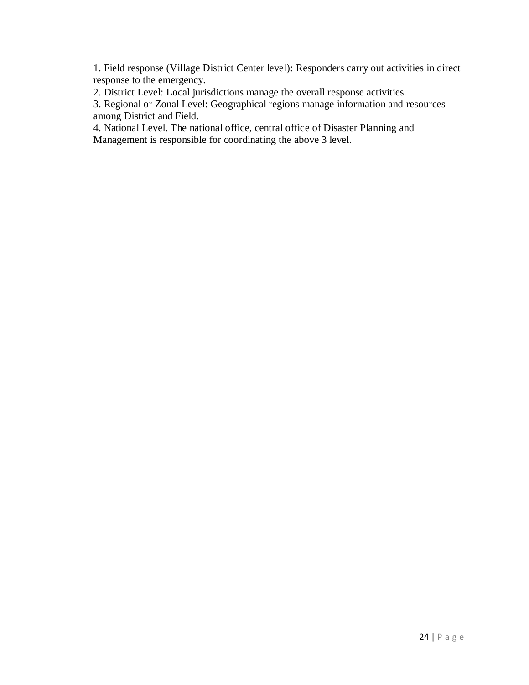1. Field response (Village District Center level): Responders carry out activities in direct response to the emergency.

2. District Level: Local jurisdictions manage the overall response activities.

3. Regional or Zonal Level: Geographical regions manage information and resources among District and Field.

4. National Level. The national office, central office of Disaster Planning and Management is responsible for coordinating the above 3 level.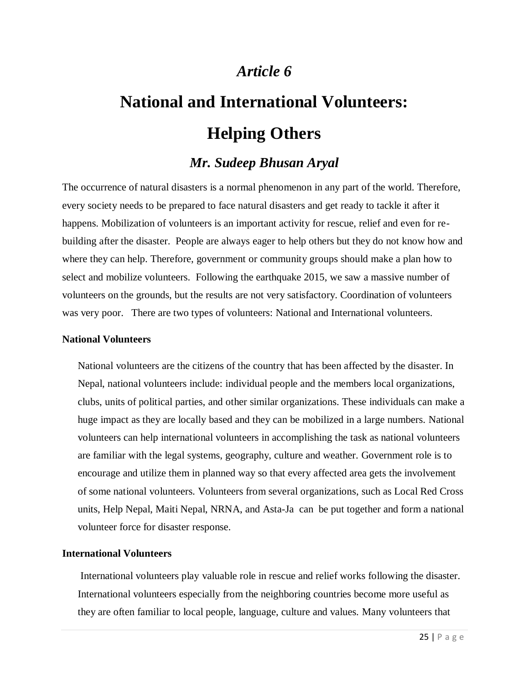# **National and International Volunteers: Helping Others**

### *Mr. Sudeep Bhusan Aryal*

The occurrence of natural disasters is a normal phenomenon in any part of the world. Therefore, every society needs to be prepared to face natural disasters and get ready to tackle it after it happens. Mobilization of volunteers is an important activity for rescue, relief and even for rebuilding after the disaster. People are always eager to help others but they do not know how and where they can help. Therefore, government or community groups should make a plan how to select and mobilize volunteers. Following the earthquake 2015, we saw a massive number of volunteers on the grounds, but the results are not very satisfactory. Coordination of volunteers was very poor. There are two types of volunteers: National and International volunteers.

#### **National Volunteers**

National volunteers are the citizens of the country that has been affected by the disaster. In Nepal, national volunteers include: individual people and the members local organizations, clubs, units of political parties, and other similar organizations. These individuals can make a huge impact as they are locally based and they can be mobilized in a large numbers. National volunteers can help international volunteers in accomplishing the task as national volunteers are familiar with the legal systems, geography, culture and weather. Government role is to encourage and utilize them in planned way so that every affected area gets the involvement of some national volunteers. Volunteers from several organizations, such as Local Red Cross units, Help Nepal, Maiti Nepal, NRNA, and Asta-Ja can be put together and form a national volunteer force for disaster response.

#### **International Volunteers**

International volunteers play valuable role in rescue and relief works following the disaster. International volunteers especially from the neighboring countries become more useful as they are often familiar to local people, language, culture and values. Many volunteers that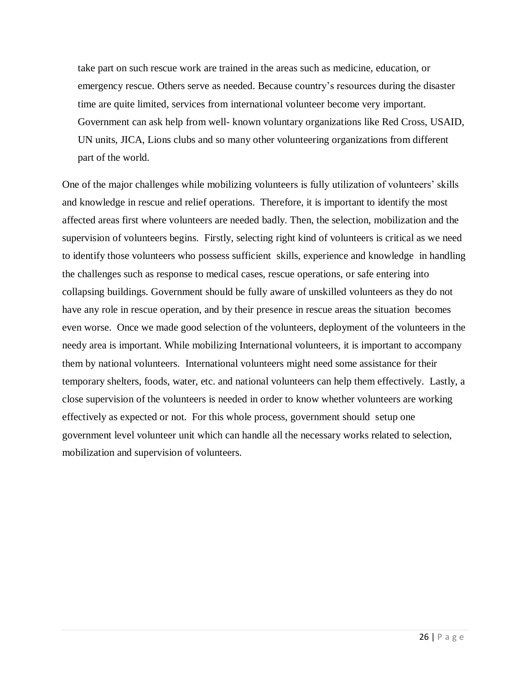take part on such rescue work are trained in the areas such as medicine, education, or emergency rescue. Others serve as needed. Because country's resources during the disaster time are quite limited, services from international volunteer become very important. Government can ask help from well- known voluntary organizations like Red Cross, USAID, UN units, JICA, Lions clubs and so many other volunteering organizations from different part of the world.

One of the major challenges while mobilizing volunteers is fully utilization of volunteers' skills and knowledge in rescue and relief operations. Therefore, it is important to identify the most affected areas first where volunteers are needed badly. Then, the selection, mobilization and the supervision of volunteers begins. Firstly, selecting right kind of volunteers is critical as we need to identify those volunteers who possess sufficient skills, experience and knowledge in handling the challenges such as response to medical cases, rescue operations, or safe entering into collapsing buildings. Government should be fully aware of unskilled volunteers as they do not have any role in rescue operation, and by their presence in rescue areas the situation becomes even worse. Once we made good selection of the volunteers, deployment of the volunteers in the needy area is important. While mobilizing International volunteers, it is important to accompany them by national volunteers. International volunteers might need some assistance for their temporary shelters, foods, water, etc. and national volunteers can help them effectively. Lastly, a close supervision of the volunteers is needed in order to know whether volunteers are working effectively as expected or not. For this whole process, government should setup one government level volunteer unit which can handle all the necessary works related to selection, mobilization and supervision of volunteers.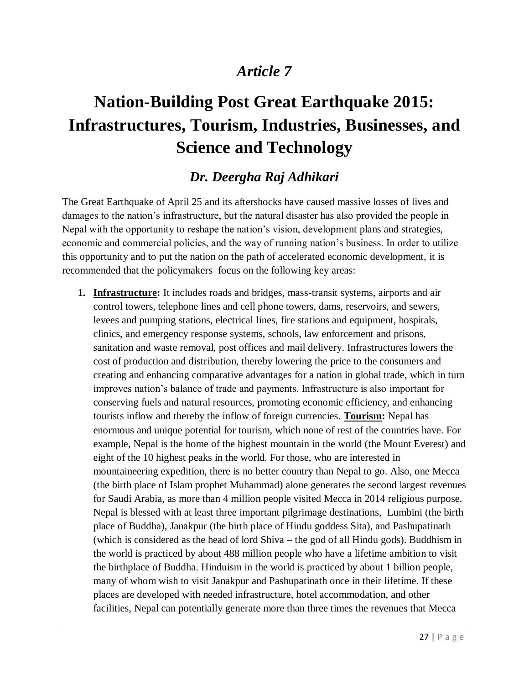# **Nation-Building Post Great Earthquake 2015: Infrastructures, Tourism, Industries, Businesses, and Science and Technology**

### *Dr. Deergha Raj Adhikari*

The Great Earthquake of April 25 and its aftershocks have caused massive losses of lives and damages to the nation's infrastructure, but the natural disaster has also provided the people in Nepal with the opportunity to reshape the nation's vision, development plans and strategies, economic and commercial policies, and the way of running nation's business. In order to utilize this opportunity and to put the nation on the path of accelerated economic development, it is recommended that the policymakers focus on the following key areas:

**1. Infrastructure:** It includes roads and bridges, mass-transit systems, airports and air control towers, telephone lines and cell phone towers, dams, reservoirs, and sewers, levees and pumping stations, electrical lines, fire stations and equipment, hospitals, clinics, and emergency response systems, schools, law enforcement and prisons, sanitation and waste removal, post offices and mail delivery. Infrastructures lowers the cost of production and distribution, thereby lowering the price to the consumers and creating and enhancing comparative advantages for a nation in global trade, which in turn improves nation's balance of trade and payments. Infrastructure is also important for conserving fuels and natural resources, promoting economic efficiency, and enhancing tourists inflow and thereby the inflow of foreign currencies. **Tourism:** Nepal has enormous and unique potential for tourism, which none of rest of the countries have. For example, Nepal is the home of the highest mountain in the world (the Mount Everest) and eight of the 10 highest peaks in the world. For those, who are interested in mountaineering expedition, there is no better country than Nepal to go. Also, one Mecca (the birth place of Islam prophet Muhammad) alone generates the second largest revenues for Saudi Arabia, as more than 4 million people visited Mecca in 2014 religious purpose. Nepal is blessed with at least three important pilgrimage destinations, Lumbini (the birth place of Buddha), Janakpur (the birth place of Hindu goddess Sita), and Pashupatinath (which is considered as the head of lord Shiva – the god of all Hindu gods). Buddhism in the world is practiced by about 488 million people who have a lifetime ambition to visit the birthplace of Buddha. Hinduism in the world is practiced by about 1 billion people, many of whom wish to visit Janakpur and Pashupatinath once in their lifetime. If these places are developed with needed infrastructure, hotel accommodation, and other facilities, Nepal can potentially generate more than three times the revenues that Mecca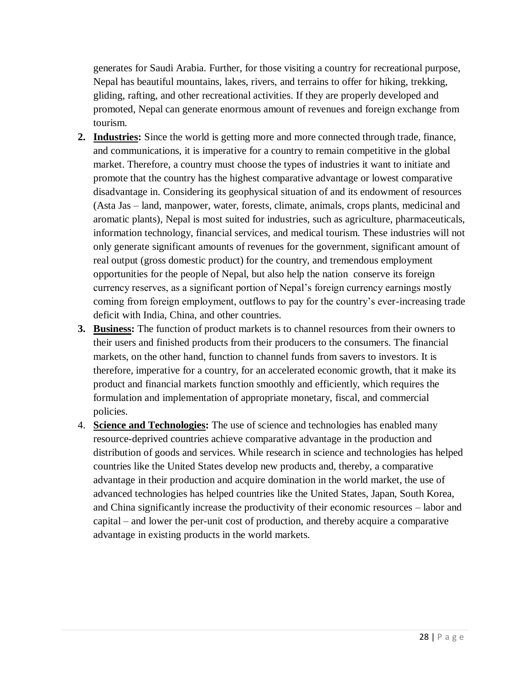generates for Saudi Arabia. Further, for those visiting a country for recreational purpose, Nepal has beautiful mountains, lakes, rivers, and terrains to offer for hiking, trekking, gliding, rafting, and other recreational activities. If they are properly developed and promoted, Nepal can generate enormous amount of revenues and foreign exchange from tourism.

- **2. Industries:** Since the world is getting more and more connected through trade, finance, and communications, it is imperative for a country to remain competitive in the global market. Therefore, a country must choose the types of industries it want to initiate and promote that the country has the highest comparative advantage or lowest comparative disadvantage in. Considering its geophysical situation of and its endowment of resources (Asta Jas – land, manpower, water, forests, climate, animals, crops plants, medicinal and aromatic plants), Nepal is most suited for industries, such as agriculture, pharmaceuticals, information technology, financial services, and medical tourism. These industries will not only generate significant amounts of revenues for the government, significant amount of real output (gross domestic product) for the country, and tremendous employment opportunities for the people of Nepal, but also help the nation conserve its foreign currency reserves, as a significant portion of Nepal's foreign currency earnings mostly coming from foreign employment, outflows to pay for the country's ever-increasing trade deficit with India, China, and other countries.
- **3. Business:** The function of product markets is to channel resources from their owners to their users and finished products from their producers to the consumers. The financial markets, on the other hand, function to channel funds from savers to investors. It is therefore, imperative for a country, for an accelerated economic growth, that it make its product and financial markets function smoothly and efficiently, which requires the formulation and implementation of appropriate monetary, fiscal, and commercial policies.
- 4. **Science and Technologies:** The use of science and technologies has enabled many resource-deprived countries achieve comparative advantage in the production and distribution of goods and services. While research in science and technologies has helped countries like the United States develop new products and, thereby, a comparative advantage in their production and acquire domination in the world market, the use of advanced technologies has helped countries like the United States, Japan, South Korea, and China significantly increase the productivity of their economic resources – labor and capital – and lower the per-unit cost of production, and thereby acquire a comparative advantage in existing products in the world markets.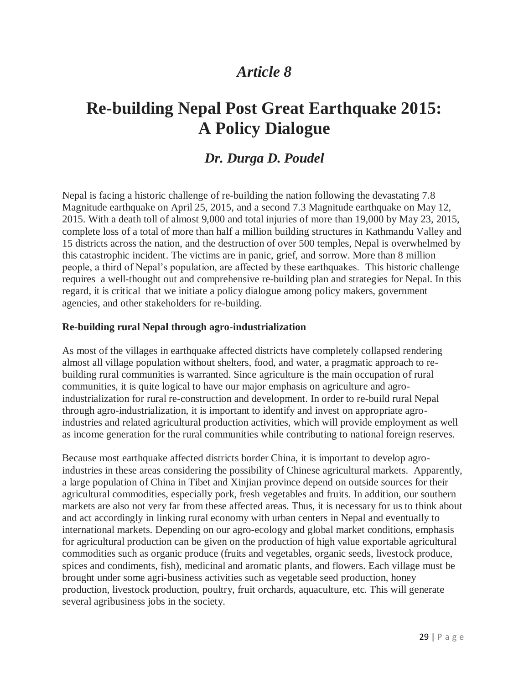# **Re-building Nepal Post Great Earthquake 2015: A Policy Dialogue**

### *Dr. Durga D. Poudel*

Nepal is facing a historic challenge of re-building the nation following the devastating 7.8 Magnitude earthquake on April 25, 2015, and a second 7.3 Magnitude earthquake on May 12, 2015. With a death toll of almost 9,000 and total injuries of more than 19,000 by May 23, 2015, complete loss of a total of more than half a million building structures in Kathmandu Valley and 15 districts across the nation, and the destruction of over 500 temples, Nepal is overwhelmed by this catastrophic incident. The victims are in panic, grief, and sorrow. More than 8 million people, a third of Nepal's population, are affected by these earthquakes. This historic challenge requires a well-thought out and comprehensive re-building plan and strategies for Nepal. In this regard, it is critical that we initiate a policy dialogue among policy makers, government agencies, and other stakeholders for re-building.

#### **Re-building rural Nepal through agro-industrialization**

As most of the villages in earthquake affected districts have completely collapsed rendering almost all village population without shelters, food, and water, a pragmatic approach to rebuilding rural communities is warranted. Since agriculture is the main occupation of rural communities, it is quite logical to have our major emphasis on agriculture and agroindustrialization for rural re-construction and development. In order to re-build rural Nepal through agro-industrialization, it is important to identify and invest on appropriate agroindustries and related agricultural production activities, which will provide employment as well as income generation for the rural communities while contributing to national foreign reserves.

Because most earthquake affected districts border China, it is important to develop agroindustries in these areas considering the possibility of Chinese agricultural markets. Apparently, a large population of China in Tibet and Xinjian province depend on outside sources for their agricultural commodities, especially pork, fresh vegetables and fruits. In addition, our southern markets are also not very far from these affected areas. Thus, it is necessary for us to think about and act accordingly in linking rural economy with urban centers in Nepal and eventually to international markets. Depending on our agro-ecology and global market conditions, emphasis for agricultural production can be given on the production of high value exportable agricultural commodities such as organic produce (fruits and vegetables, organic seeds, livestock produce, spices and condiments, fish), medicinal and aromatic plants, and flowers. Each village must be brought under some agri-business activities such as vegetable seed production, honey production, livestock production, poultry, fruit orchards, aquaculture, etc. This will generate several agribusiness jobs in the society.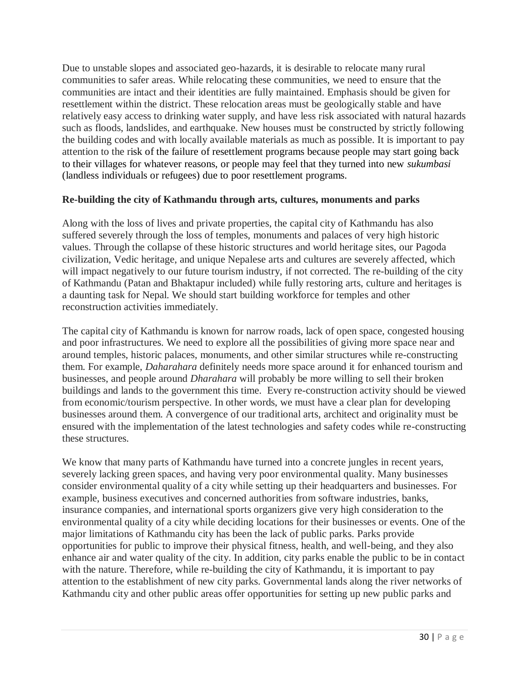Due to unstable slopes and associated geo-hazards, it is desirable to relocate many rural communities to safer areas. While relocating these communities, we need to ensure that the communities are intact and their identities are fully maintained. Emphasis should be given for resettlement within the district. These relocation areas must be geologically stable and have relatively easy access to drinking water supply, and have less risk associated with natural hazards such as floods, landslides, and earthquake. New houses must be constructed by strictly following the building codes and with locally available materials as much as possible. It is important to pay attention to the risk of the failure of resettlement programs because people may start going back to their villages for whatever reasons, or people may feel that they turned into new *sukumbasi* (landless individuals or refugees) due to poor resettlement programs.

#### **Re-building the city of Kathmandu through arts, cultures, monuments and parks**

Along with the loss of lives and private properties, the capital city of Kathmandu has also suffered severely through the loss of temples, monuments and palaces of very high historic values. Through the collapse of these historic structures and world heritage sites, our Pagoda civilization, Vedic heritage, and unique Nepalese arts and cultures are severely affected, which will impact negatively to our future tourism industry, if not corrected. The re-building of the city of Kathmandu (Patan and Bhaktapur included) while fully restoring arts, culture and heritages is a daunting task for Nepal. We should start building workforce for temples and other reconstruction activities immediately.

The capital city of Kathmandu is known for narrow roads, lack of open space, congested housing and poor infrastructures. We need to explore all the possibilities of giving more space near and around temples, historic palaces, monuments, and other similar structures while re-constructing them. For example, *Daharahara* definitely needs more space around it for enhanced tourism and businesses, and people around *Dharahara* will probably be more willing to sell their broken buildings and lands to the government this time. Every re-construction activity should be viewed from economic/tourism perspective. In other words, we must have a clear plan for developing businesses around them. A convergence of our traditional arts, architect and originality must be ensured with the implementation of the latest technologies and safety codes while re-constructing these structures.

We know that many parts of Kathmandu have turned into a concrete jungles in recent years, severely lacking green spaces, and having very poor environmental quality. Many businesses consider environmental quality of a city while setting up their headquarters and businesses. For example, business executives and concerned authorities from software industries, banks, insurance companies, and international sports organizers give very high consideration to the environmental quality of a city while deciding locations for their businesses or events. One of the major limitations of Kathmandu city has been the lack of public parks. Parks provide opportunities for public to improve their physical fitness, health, and well-being, and they also enhance air and water quality of the city. In addition, city parks enable the public to be in contact with the nature. Therefore, while re-building the city of Kathmandu, it is important to pay attention to the establishment of new city parks. Governmental lands along the river networks of Kathmandu city and other public areas offer opportunities for setting up new public parks and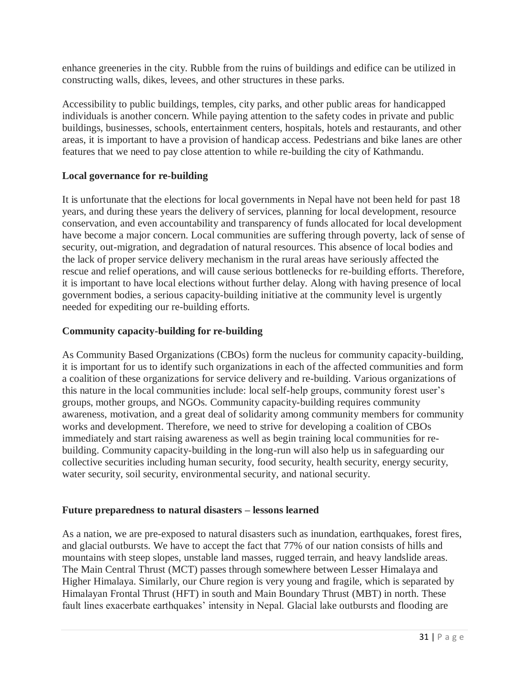enhance greeneries in the city. Rubble from the ruins of buildings and edifice can be utilized in constructing walls, dikes, levees, and other structures in these parks.

Accessibility to public buildings, temples, city parks, and other public areas for handicapped individuals is another concern. While paying attention to the safety codes in private and public buildings, businesses, schools, entertainment centers, hospitals, hotels and restaurants, and other areas, it is important to have a provision of handicap access. Pedestrians and bike lanes are other features that we need to pay close attention to while re-building the city of Kathmandu.

#### **Local governance for re-building**

It is unfortunate that the elections for local governments in Nepal have not been held for past 18 years, and during these years the delivery of services, planning for local development, resource conservation, and even accountability and transparency of funds allocated for local development have become a major concern. Local communities are suffering through poverty, lack of sense of security, out-migration, and degradation of natural resources. This absence of local bodies and the lack of proper service delivery mechanism in the rural areas have seriously affected the rescue and relief operations, and will cause serious bottlenecks for re-building efforts. Therefore, it is important to have local elections without further delay. Along with having presence of local government bodies, a serious capacity-building initiative at the community level is urgently needed for expediting our re-building efforts.

#### **Community capacity-building for re-building**

As Community Based Organizations (CBOs) form the nucleus for community capacity-building, it is important for us to identify such organizations in each of the affected communities and form a coalition of these organizations for service delivery and re-building. Various organizations of this nature in the local communities include: local self-help groups, community forest user's groups, mother groups, and NGOs. Community capacity-building requires community awareness, motivation, and a great deal of solidarity among community members for community works and development. Therefore, we need to strive for developing a coalition of CBOs immediately and start raising awareness as well as begin training local communities for rebuilding. Community capacity-building in the long-run will also help us in safeguarding our collective securities including human security, food security, health security, energy security, water security, soil security, environmental security, and national security.

#### **Future preparedness to natural disasters – lessons learned**

As a nation, we are pre-exposed to natural disasters such as inundation, earthquakes, forest fires, and glacial outbursts. We have to accept the fact that 77% of our nation consists of hills and mountains with steep slopes, unstable land masses, rugged terrain, and heavy landslide areas. The Main Central Thrust (MCT) passes through somewhere between Lesser Himalaya and Higher Himalaya. Similarly, our Chure region is very young and fragile, which is separated by Himalayan Frontal Thrust (HFT) in south and Main Boundary Thrust (MBT) in north. These fault lines exacerbate earthquakes' intensity in Nepal. Glacial lake outbursts and flooding are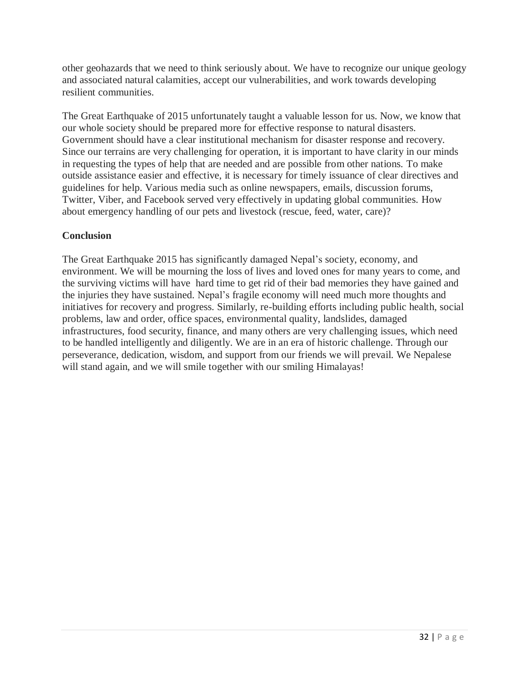other geohazards that we need to think seriously about. We have to recognize our unique geology and associated natural calamities, accept our vulnerabilities, and work towards developing resilient communities.

The Great Earthquake of 2015 unfortunately taught a valuable lesson for us. Now, we know that our whole society should be prepared more for effective response to natural disasters. Government should have a clear institutional mechanism for disaster response and recovery. Since our terrains are very challenging for operation, it is important to have clarity in our minds in requesting the types of help that are needed and are possible from other nations. To make outside assistance easier and effective, it is necessary for timely issuance of clear directives and guidelines for help. Various media such as online newspapers, emails, discussion forums, Twitter, Viber, and Facebook served very effectively in updating global communities. How about emergency handling of our pets and livestock (rescue, feed, water, care)?

#### **Conclusion**

The Great Earthquake 2015 has significantly damaged Nepal's society, economy, and environment. We will be mourning the loss of lives and loved ones for many years to come, and the surviving victims will have hard time to get rid of their bad memories they have gained and the injuries they have sustained. Nepal's fragile economy will need much more thoughts and initiatives for recovery and progress. Similarly, re-building efforts including public health, social problems, law and order, office spaces, environmental quality, landslides, damaged infrastructures, food security, finance, and many others are very challenging issues, which need to be handled intelligently and diligently. We are in an era of historic challenge. Through our perseverance, dedication, wisdom, and support from our friends we will prevail. We Nepalese will stand again, and we will smile together with our smiling Himalayas!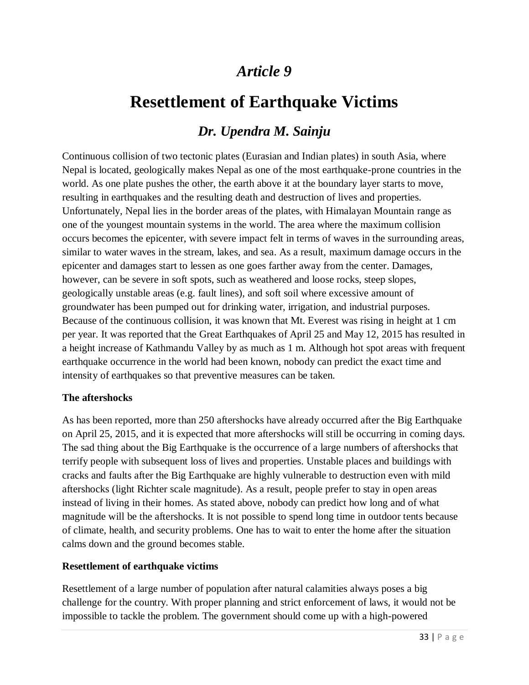# **Resettlement of Earthquake Victims**

### *Dr. Upendra M. Sainju*

Continuous collision of two tectonic plates (Eurasian and Indian plates) in south Asia, where Nepal is located, geologically makes Nepal as one of the most earthquake-prone countries in the world. As one plate pushes the other, the earth above it at the boundary layer starts to move, resulting in earthquakes and the resulting death and destruction of lives and properties. Unfortunately, Nepal lies in the border areas of the plates, with Himalayan Mountain range as one of the youngest mountain systems in the world. The area where the maximum collision occurs becomes the epicenter, with severe impact felt in terms of waves in the surrounding areas, similar to water waves in the stream, lakes, and sea. As a result, maximum damage occurs in the epicenter and damages start to lessen as one goes farther away from the center. Damages, however, can be severe in soft spots, such as weathered and loose rocks, steep slopes, geologically unstable areas (e.g. fault lines), and soft soil where excessive amount of groundwater has been pumped out for drinking water, irrigation, and industrial purposes. Because of the continuous collision, it was known that Mt. Everest was rising in height at 1 cm per year. It was reported that the Great Earthquakes of April 25 and May 12, 2015 has resulted in a height increase of Kathmandu Valley by as much as 1 m. Although hot spot areas with frequent earthquake occurrence in the world had been known, nobody can predict the exact time and intensity of earthquakes so that preventive measures can be taken.

#### **The aftershocks**

As has been reported, more than 250 aftershocks have already occurred after the Big Earthquake on April 25, 2015, and it is expected that more aftershocks will still be occurring in coming days. The sad thing about the Big Earthquake is the occurrence of a large numbers of aftershocks that terrify people with subsequent loss of lives and properties. Unstable places and buildings with cracks and faults after the Big Earthquake are highly vulnerable to destruction even with mild aftershocks (light Richter scale magnitude). As a result, people prefer to stay in open areas instead of living in their homes. As stated above, nobody can predict how long and of what magnitude will be the aftershocks. It is not possible to spend long time in outdoor tents because of climate, health, and security problems. One has to wait to enter the home after the situation calms down and the ground becomes stable.

#### **Resettlement of earthquake victims**

Resettlement of a large number of population after natural calamities always poses a big challenge for the country. With proper planning and strict enforcement of laws, it would not be impossible to tackle the problem. The government should come up with a high-powered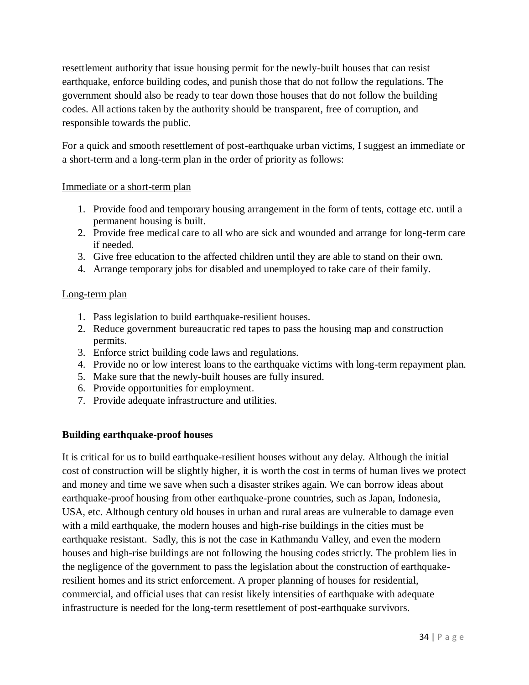resettlement authority that issue housing permit for the newly-built houses that can resist earthquake, enforce building codes, and punish those that do not follow the regulations. The government should also be ready to tear down those houses that do not follow the building codes. All actions taken by the authority should be transparent, free of corruption, and responsible towards the public.

For a quick and smooth resettlement of post-earthquake urban victims, I suggest an immediate or a short-term and a long-term plan in the order of priority as follows:

#### Immediate or a short-term plan

- 1. Provide food and temporary housing arrangement in the form of tents, cottage etc. until a permanent housing is built.
- 2. Provide free medical care to all who are sick and wounded and arrange for long-term care if needed.
- 3. Give free education to the affected children until they are able to stand on their own.
- 4. Arrange temporary jobs for disabled and unemployed to take care of their family.

#### Long-term plan

- 1. Pass legislation to build earthquake-resilient houses.
- 2. Reduce government bureaucratic red tapes to pass the housing map and construction permits.
- 3. Enforce strict building code laws and regulations.
- 4. Provide no or low interest loans to the earthquake victims with long-term repayment plan.
- 5. Make sure that the newly-built houses are fully insured.
- 6. Provide opportunities for employment.
- 7. Provide adequate infrastructure and utilities.

#### **Building earthquake-proof houses**

It is critical for us to build earthquake-resilient houses without any delay. Although the initial cost of construction will be slightly higher, it is worth the cost in terms of human lives we protect and money and time we save when such a disaster strikes again. We can borrow ideas about earthquake-proof housing from other earthquake-prone countries, such as Japan, Indonesia, USA, etc. Although century old houses in urban and rural areas are vulnerable to damage even with a mild earthquake, the modern houses and high-rise buildings in the cities must be earthquake resistant. Sadly, this is not the case in Kathmandu Valley, and even the modern houses and high-rise buildings are not following the housing codes strictly. The problem lies in the negligence of the government to pass the legislation about the construction of earthquakeresilient homes and its strict enforcement. A proper planning of houses for residential, commercial, and official uses that can resist likely intensities of earthquake with adequate infrastructure is needed for the long-term resettlement of post-earthquake survivors.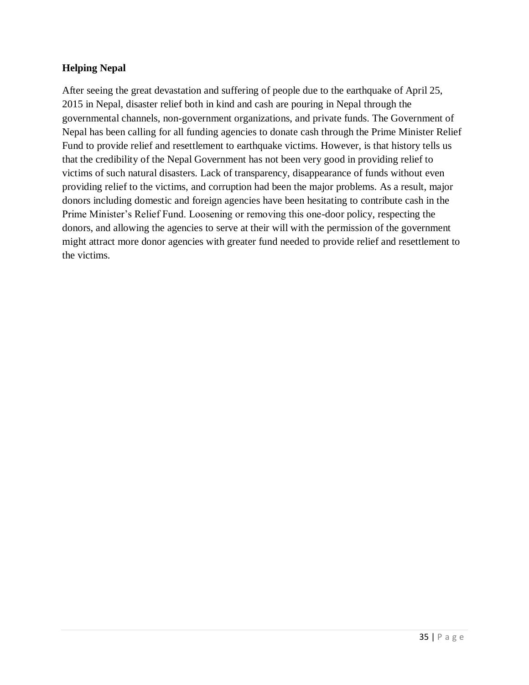#### **Helping Nepal**

After seeing the great devastation and suffering of people due to the earthquake of April 25, 2015 in Nepal, disaster relief both in kind and cash are pouring in Nepal through the governmental channels, non-government organizations, and private funds. The Government of Nepal has been calling for all funding agencies to donate cash through the Prime Minister Relief Fund to provide relief and resettlement to earthquake victims. However, is that history tells us that the credibility of the Nepal Government has not been very good in providing relief to victims of such natural disasters. Lack of transparency, disappearance of funds without even providing relief to the victims, and corruption had been the major problems. As a result, major donors including domestic and foreign agencies have been hesitating to contribute cash in the Prime Minister's Relief Fund. Loosening or removing this one-door policy, respecting the donors, and allowing the agencies to serve at their will with the permission of the government might attract more donor agencies with greater fund needed to provide relief and resettlement to the victims.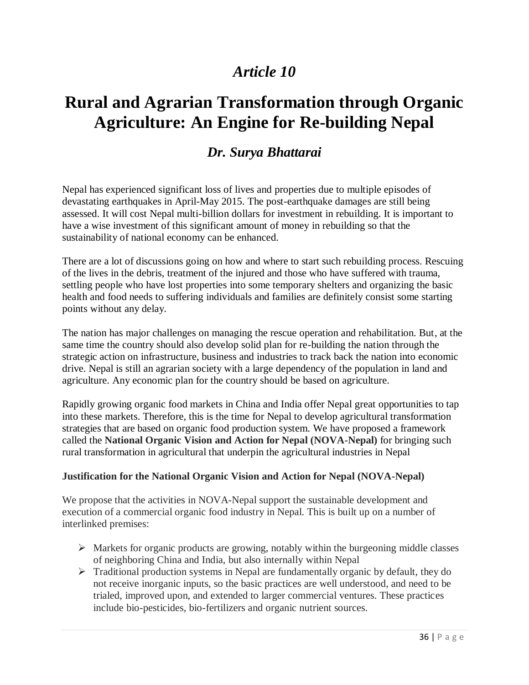# **Rural and Agrarian Transformation through Organic Agriculture: An Engine for Re-building Nepal**

### *Dr. Surya Bhattarai*

Nepal has experienced significant loss of lives and properties due to multiple episodes of devastating earthquakes in April-May 2015. The post-earthquake damages are still being assessed. It will cost Nepal multi-billion dollars for investment in rebuilding. It is important to have a wise investment of this significant amount of money in rebuilding so that the sustainability of national economy can be enhanced.

There are a lot of discussions going on how and where to start such rebuilding process. Rescuing of the lives in the debris, treatment of the injured and those who have suffered with trauma, settling people who have lost properties into some temporary shelters and organizing the basic health and food needs to suffering individuals and families are definitely consist some starting points without any delay.

The nation has major challenges on managing the rescue operation and rehabilitation. But, at the same time the country should also develop solid plan for re-building the nation through the strategic action on infrastructure, business and industries to track back the nation into economic drive. Nepal is still an agrarian society with a large dependency of the population in land and agriculture. Any economic plan for the country should be based on agriculture.

Rapidly growing organic food markets in China and India offer Nepal great opportunities to tap into these markets. Therefore, this is the time for Nepal to develop agricultural transformation strategies that are based on organic food production system. We have proposed a framework called the **National Organic Vision and Action for Nepal (NOVA-Nepal)** for bringing such rural transformation in agricultural that underpin the agricultural industries in Nepal

#### **Justification for the National Organic Vision and Action for Nepal (NOVA-Nepal)**

We propose that the activities in NOVA-Nepal support the sustainable development and execution of a commercial organic food industry in Nepal. This is built up on a number of interlinked premises:

- $\triangleright$  Markets for organic products are growing, notably within the burgeoning middle classes of neighboring China and India, but also internally within Nepal
- $\triangleright$  Traditional production systems in Nepal are fundamentally organic by default, they do not receive inorganic inputs, so the basic practices are well understood, and need to be trialed, improved upon, and extended to larger commercial ventures. These practices include bio-pesticides, bio-fertilizers and organic nutrient sources.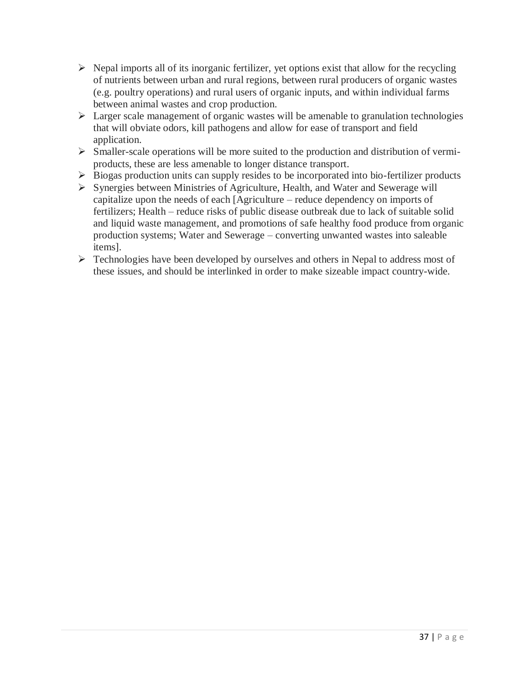- $\triangleright$  Nepal imports all of its inorganic fertilizer, yet options exist that allow for the recycling of nutrients between urban and rural regions, between rural producers of organic wastes (e.g. poultry operations) and rural users of organic inputs, and within individual farms between animal wastes and crop production.
- $\triangleright$  Larger scale management of organic wastes will be amenable to granulation technologies that will obviate odors, kill pathogens and allow for ease of transport and field application.
- $\triangleright$  Smaller-scale operations will be more suited to the production and distribution of vermiproducts, these are less amenable to longer distance transport.
- $\triangleright$  Biogas production units can supply resides to be incorporated into bio-fertilizer products
- $\triangleright$  Synergies between Ministries of Agriculture, Health, and Water and Sewerage will capitalize upon the needs of each [Agriculture – reduce dependency on imports of fertilizers; Health – reduce risks of public disease outbreak due to lack of suitable solid and liquid waste management, and promotions of safe healthy food produce from organic production systems; Water and Sewerage – converting unwanted wastes into saleable items].
- $\triangleright$  Technologies have been developed by ourselves and others in Nepal to address most of these issues, and should be interlinked in order to make sizeable impact country-wide.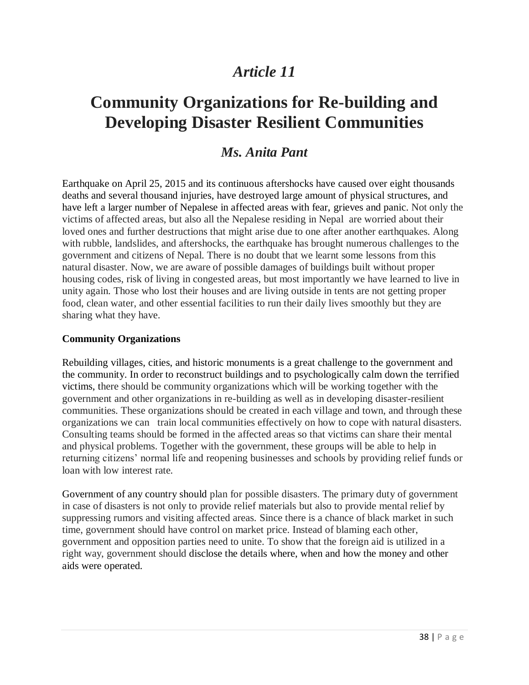# **Community Organizations for Re-building and Developing Disaster Resilient Communities**

### *Ms. Anita Pant*

Earthquake on April 25, 2015 and its continuous aftershocks have caused over eight thousands deaths and several thousand injuries, have destroyed large amount of physical structures, and have left a larger number of Nepalese in affected areas with fear, grieves and panic. Not only the victims of affected areas, but also all the Nepalese residing in Nepal are worried about their loved ones and further destructions that might arise due to one after another earthquakes. Along with rubble, landslides, and aftershocks, the earthquake has brought numerous challenges to the government and citizens of Nepal. There is no doubt that we learnt some lessons from this natural disaster. Now, we are aware of possible damages of buildings built without proper housing codes, risk of living in congested areas, but most importantly we have learned to live in unity again. Those who lost their houses and are living outside in tents are not getting proper food, clean water, and other essential facilities to run their daily lives smoothly but they are sharing what they have.

#### **Community Organizations**

Rebuilding villages, cities, and historic monuments is a great challenge to the government and the community. In order to reconstruct buildings and to psychologically calm down the terrified victims, there should be community organizations which will be working together with the government and other organizations in re-building as well as in developing disaster-resilient communities. These organizations should be created in each village and town, and through these organizations we can train local communities effectively on how to cope with natural disasters. Consulting teams should be formed in the affected areas so that victims can share their mental and physical problems. Together with the government, these groups will be able to help in returning citizens' normal life and reopening businesses and schools by providing relief funds or loan with low interest rate.

Government of any country should plan for possible disasters. The primary duty of government in case of disasters is not only to provide relief materials but also to provide mental relief by suppressing rumors and visiting affected areas. Since there is a chance of black market in such time, government should have control on market price. Instead of blaming each other, government and opposition parties need to unite. To show that the foreign aid is utilized in a right way, government should disclose the details where, when and how the money and other aids were operated.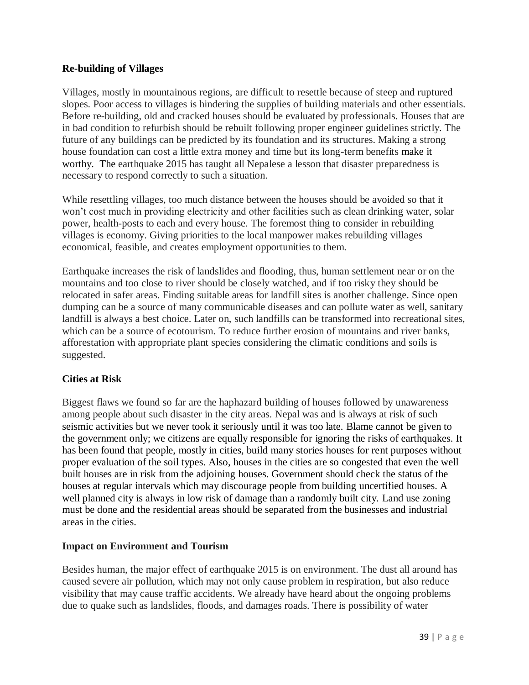#### **Re-building of Villages**

Villages, mostly in mountainous regions, are difficult to resettle because of steep and ruptured slopes. Poor access to villages is hindering the supplies of building materials and other essentials. Before re-building, old and cracked houses should be evaluated by professionals. Houses that are in bad condition to refurbish should be rebuilt following proper engineer guidelines strictly. The future of any buildings can be predicted by its foundation and its structures. Making a strong house foundation can cost a little extra money and time but its long-term benefits make it worthy. The earthquake 2015 has taught all Nepalese a lesson that disaster preparedness is necessary to respond correctly to such a situation.

While resettling villages, too much distance between the houses should be avoided so that it won't cost much in providing electricity and other facilities such as clean drinking water, solar power, health-posts to each and every house. The foremost thing to consider in rebuilding villages is economy. Giving priorities to the local manpower makes rebuilding villages economical, feasible, and creates employment opportunities to them.

Earthquake increases the risk of landslides and flooding, thus, human settlement near or on the mountains and too close to river should be closely watched, and if too risky they should be relocated in safer areas. Finding suitable areas for landfill sites is another challenge. Since open dumping can be a source of many communicable diseases and can pollute water as well, sanitary landfill is always a best choice. Later on, such landfills can be transformed into recreational sites, which can be a source of ecotourism. To reduce further erosion of mountains and river banks, afforestation with appropriate plant species considering the climatic conditions and soils is suggested.

#### **Cities at Risk**

Biggest flaws we found so far are the haphazard building of houses followed by unawareness among people about such disaster in the city areas. Nepal was and is always at risk of such seismic activities but we never took it seriously until it was too late. Blame cannot be given to the government only; we citizens are equally responsible for ignoring the risks of earthquakes. It has been found that people, mostly in cities, build many stories houses for rent purposes without proper evaluation of the soil types. Also, houses in the cities are so congested that even the well built houses are in risk from the adjoining houses. Government should check the status of the houses at regular intervals which may discourage people from building uncertified houses. A well planned city is always in low risk of damage than a randomly built city. Land use zoning must be done and the residential areas should be separated from the businesses and industrial areas in the cities.

#### **Impact on Environment and Tourism**

Besides human, the major effect of earthquake 2015 is on environment. The dust all around has caused severe air pollution, which may not only cause problem in respiration, but also reduce visibility that may cause traffic accidents. We already have heard about the ongoing problems due to quake such as landslides, floods, and damages roads. There is possibility of water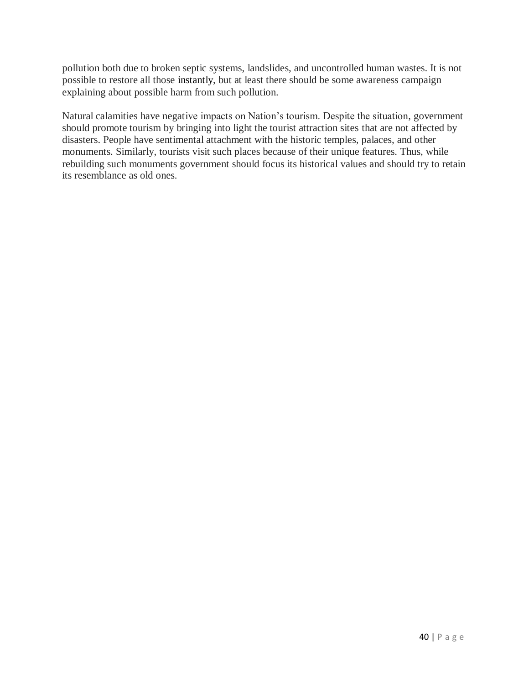pollution both due to broken septic systems, landslides, and uncontrolled human wastes. It is not possible to restore all those instantly, but at least there should be some awareness campaign explaining about possible harm from such pollution.

Natural calamities have negative impacts on Nation's tourism. Despite the situation, government should promote tourism by bringing into light the tourist attraction sites that are not affected by disasters. People have sentimental attachment with the historic temples, palaces, and other monuments. Similarly, tourists visit such places because of their unique features. Thus, while rebuilding such monuments government should focus its historical values and should try to retain its resemblance as old ones.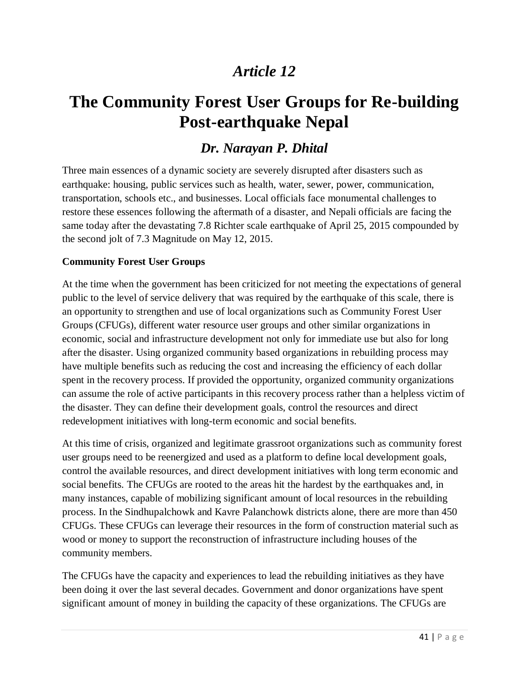# **The Community Forest User Groups for Re-building Post-earthquake Nepal**

### *Dr. Narayan P. Dhital*

Three main essences of a dynamic society are severely disrupted after disasters such as earthquake: housing, public services such as health, water, sewer, power, communication, transportation, schools etc., and businesses. Local officials face monumental challenges to restore these essences following the aftermath of a disaster, and Nepali officials are facing the same today after the devastating 7.8 Richter scale earthquake of April 25, 2015 compounded by the second jolt of 7.3 Magnitude on May 12, 2015.

#### **Community Forest User Groups**

At the time when the government has been criticized for not meeting the expectations of general public to the level of service delivery that was required by the earthquake of this scale, there is an opportunity to strengthen and use of local organizations such as Community Forest User Groups (CFUGs), different water resource user groups and other similar organizations in economic, social and infrastructure development not only for immediate use but also for long after the disaster. Using organized community based organizations in rebuilding process may have multiple benefits such as reducing the cost and increasing the efficiency of each dollar spent in the recovery process. If provided the opportunity, organized community organizations can assume the role of active participants in this recovery process rather than a helpless victim of the disaster. They can define their development goals, control the resources and direct redevelopment initiatives with long-term economic and social benefits.

At this time of crisis, organized and legitimate grassroot organizations such as community forest user groups need to be reenergized and used as a platform to define local development goals, control the available resources, and direct development initiatives with long term economic and social benefits. The CFUGs are rooted to the areas hit the hardest by the earthquakes and, in many instances, capable of mobilizing significant amount of local resources in the rebuilding process. In the Sindhupalchowk and Kavre Palanchowk districts alone, there are more than 450 CFUGs. These CFUGs can leverage their resources in the form of construction material such as wood or money to support the reconstruction of infrastructure including houses of the community members.

The CFUGs have the capacity and experiences to lead the rebuilding initiatives as they have been doing it over the last several decades. Government and donor organizations have spent significant amount of money in building the capacity of these organizations. The CFUGs are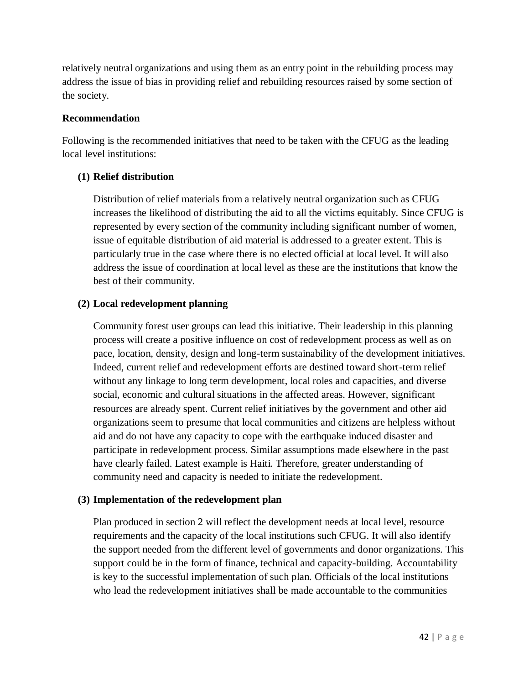relatively neutral organizations and using them as an entry point in the rebuilding process may address the issue of bias in providing relief and rebuilding resources raised by some section of the society.

#### **Recommendation**

Following is the recommended initiatives that need to be taken with the CFUG as the leading local level institutions:

#### **(1) Relief distribution**

Distribution of relief materials from a relatively neutral organization such as CFUG increases the likelihood of distributing the aid to all the victims equitably. Since CFUG is represented by every section of the community including significant number of women, issue of equitable distribution of aid material is addressed to a greater extent. This is particularly true in the case where there is no elected official at local level. It will also address the issue of coordination at local level as these are the institutions that know the best of their community.

#### **(2) Local redevelopment planning**

Community forest user groups can lead this initiative. Their leadership in this planning process will create a positive influence on cost of redevelopment process as well as on pace, location, density, design and long-term sustainability of the development initiatives. Indeed, current relief and redevelopment efforts are destined toward short-term relief without any linkage to long term development, local roles and capacities, and diverse social, economic and cultural situations in the affected areas. However, significant resources are already spent. Current relief initiatives by the government and other aid organizations seem to presume that local communities and citizens are helpless without aid and do not have any capacity to cope with the earthquake induced disaster and participate in redevelopment process. Similar assumptions made elsewhere in the past have clearly failed. Latest example is Haiti. Therefore, greater understanding of community need and capacity is needed to initiate the redevelopment.

#### **(3) Implementation of the redevelopment plan**

Plan produced in section 2 will reflect the development needs at local level, resource requirements and the capacity of the local institutions such CFUG. It will also identify the support needed from the different level of governments and donor organizations. This support could be in the form of finance, technical and capacity-building. Accountability is key to the successful implementation of such plan. Officials of the local institutions who lead the redevelopment initiatives shall be made accountable to the communities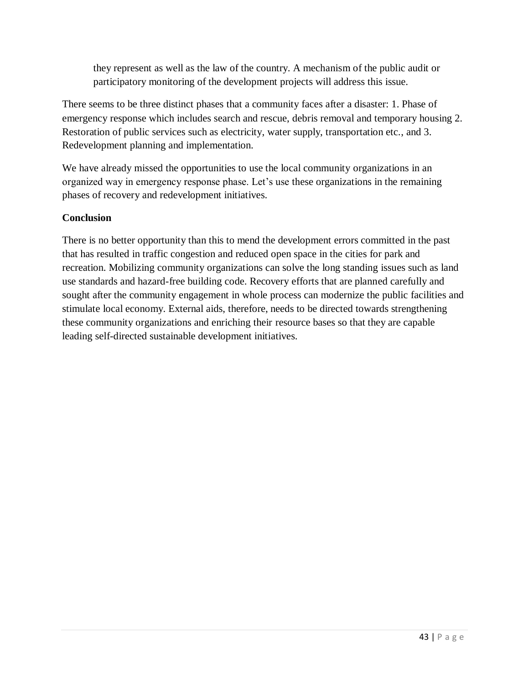they represent as well as the law of the country. A mechanism of the public audit or participatory monitoring of the development projects will address this issue.

There seems to be three distinct phases that a community faces after a disaster: 1. Phase of emergency response which includes search and rescue, debris removal and temporary housing 2. Restoration of public services such as electricity, water supply, transportation etc., and 3. Redevelopment planning and implementation.

We have already missed the opportunities to use the local community organizations in an organized way in emergency response phase. Let's use these organizations in the remaining phases of recovery and redevelopment initiatives.

#### **Conclusion**

There is no better opportunity than this to mend the development errors committed in the past that has resulted in traffic congestion and reduced open space in the cities for park and recreation. Mobilizing community organizations can solve the long standing issues such as land use standards and hazard-free building code. Recovery efforts that are planned carefully and sought after the community engagement in whole process can modernize the public facilities and stimulate local economy. External aids, therefore, needs to be directed towards strengthening these community organizations and enriching their resource bases so that they are capable leading self-directed sustainable development initiatives.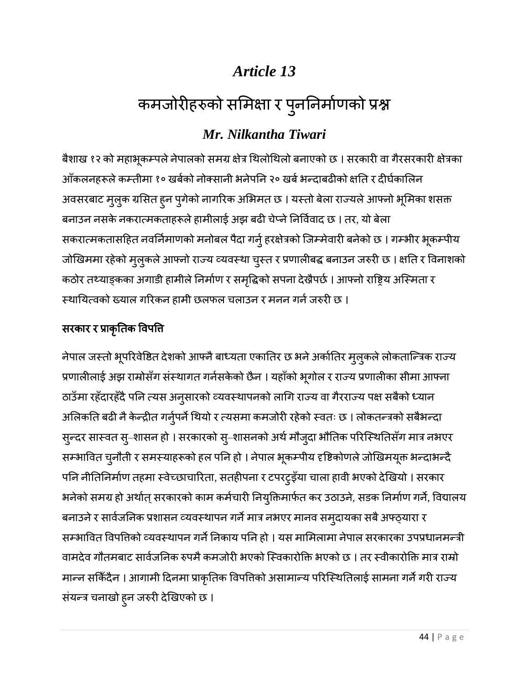# कमजोरीहरुको समिक्षा र पुन

## *Mr. Nilkantha Tiwari*

बैशाख १२ को महाभूकम्पले नेपालको समग्र क्षेत्र थिलोथिलो बनाएको छ । सरकारी वा गैरसरकारी क्षेत्रका ऑकलनहरूले कम्तीमा १० खर्बको नोक्सानी भनेपनि २० खर्ब भन्दाबढीको क्षति र दीर्घकालिन अवसरबाट मुलुक ग्रसित ह्न पुगेको नागरिक अभिमत छ । यस्तो बेला राज्यले आफ्नो भूमिका शसक्त बनाउन नसके नकरात्मकताहरूले हामीलाई अझ बढी चेप्ने निर्विवाद छ । तर, यो बेला सकरात्मकतासहित नवर्निमाणको मनोबल पैदा गर्नु हरक्षेत्रको जिम्मेवारी बनेको छ । गम्भीर भूकम्पीय जोखिममा रहेको मुलुकले आफ्नो राज्य व्यवस्था चुस्त र प्रणालीबद्ध बनाउन जरुरी छ । क्षति र विनाशको कठोर तथ्याङ्कका अगाडी हामीले निर्माण र समृद्धिको सपना देखैपर्छ । आफ्नो राष्ट्रिय अस्मिता र स्थायित्वको ख्याल गरिकन हामी छलफल चलाउन र मनन गर्न जरुरी छ ।

### सरकार र प्राकृति

नेपाल जस्तो भूपरिवेष्ठित देशको आफ्नै बाध्यता एकातिर छ भने अर्कातिर म्*ल्*कले लोकतान्त्रिक राज्य प्रणालीलाई अझ राम्रोसँग संस्थागत गर्नसकेको छैन । यहाँको भूगोल र राज्य प्रणालीका सीमा आफ्ना ठाउँमा रहँदारहँदै पनि त्यस अनुसारको व्यवस्थापनको लागि राज्य वा गैरराज्य पक्ष सबैको ध्यान अलिकति बढी नै केन्द्रीत गर्नुपर्ने थियो र त्यसमा कमजोरी रहेको स्वतः छ । लोकतन्त्रको सबैभन्दा सुन्दर सास्वत सु–शासन हो । सरकारको सु–शासनको अर्थ मौजुदा भौतिक परिस्थितिसँग मात्र नभएर सम्भावित चुनौती र समस्याहरूको हल पनि हो । नेपाल भूकम्पीय दृष्टिकोणले जोखिमयूक्त भन्दाभन्दै पनि नीतिनिर्माण तहमा स्वेच्छाचारिता, सतहीपना र टपरटुइँया चाला हावी भएको देखियो । सरकार भनेको समग्र हो अर्थात् सरकारको काम कर्मचारी नियुक्तिमार्फत कर उठाउने, सडक निर्माण गर्ने, विद्यालय बनाउने र सार्वजनिक प्रशासन व्यवस्थापन गर्ने मात्र नभएर मानव समुदायका सबै अफ्ठ्यारा र सम्भावित विपत्तिको व्यवस्थापन गर्ने निकाय पनि हो । यस मामिलामा नेपाल सरकारका उपप्रधानमन्त्री वामदेव गौतमबाट सार्वजनिक रुपमै कमजोरी भएको स्विकारोक्ति भएको छ । तर स्वीकारोक्ति मात्र राम्रो मान्न सकिँदैन । आगामी दिनमा प्राकृतिक विपत्तिको असामान्य परिस्थितिलाई सामना गर्ने गरी राज्य संयन्त्र चनाखो हुन जरुरी देखिएको छ ।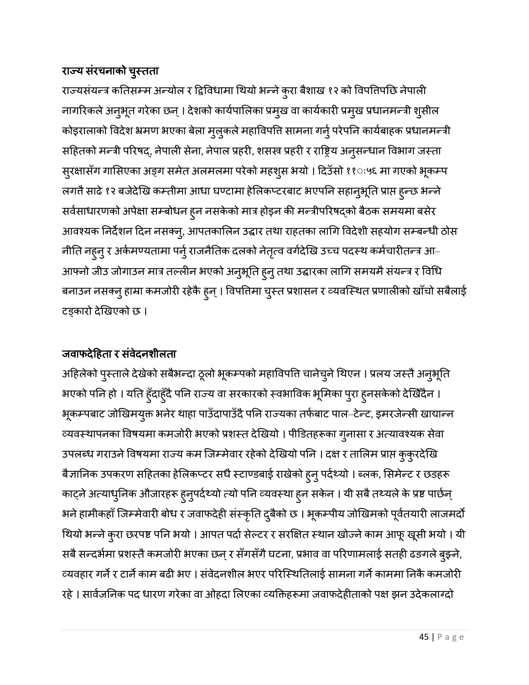### राज्य सरचनाको चुर

राज्यसंयन्त्र कतिसम्म अन्योल र द्विविधामा थियो भन्ने कुरा बैशाख १२ को विपतिपछि नेपाली नागरिकले अनुभूत गरेका छन् । देशको कार्यपालिका प्रमुख वा कार्यकारी प्रमुख प्रधानमन्त्री शुसील कोइरालाको विदेश भ्रमण भएका बेला मुलुकले महाविपत्ति सामना गर्नु परेपनि कार्यबाहक प्रधानमन्त्री सहितको मन्त्री परिषद्, नेपाली सेना, नेपाल प्रहरी, शसस्त्र प्रहरी र राष्ट्रिय अनुसन्धान विभाग जस्ता सुरक्षासँग गासिएका अङ्ग समेत अलमलमा परेको महशुस भयो । दिउँसो ११ः५६ मा गएको भूकम्प लगतै साढे १२ बजेदेखि कम्तीमा आधा घण्टामा हेलिकप्टरबाट भएपनि सहानुभूति प्राप्त ह्न्छ भन्ने सर्वसाधारणको अपेक्षा सम्बोधन हुन नसकेको मात्र होइन की मन्त्रीपरिषद्को बैठक समयमा बसेर आवश्यक निर्देशन दिन नसक्नु, आपतकालिन उद्धार तथा राहतका लागि विदेशी सहयोग सम्बन्धी ठोस नीति नहुनु र अर्कमण्यतामा पर्नु राजनैतिक दलको नेतृत्व वर्गदेखि उच्च पदस्थ कर्मचारीतन्त्र आ– आफ्नो जीउ जोगाउन मात्र तल्लीन भएको अनुभूति हुनु तथा उद्धारका लागि समयमै संयन्त्र र विधि बनाउन नसक्नु हाम्रा कमजोरी रहेकै हुन् । विपत्तिमा चुस्त प्रशासन र व्यवस्थित प्रणालीको खाँचो सबैलाई टड्कारो देखिएको छ ।

### जवाफदेहिता र संवेदनशीलता

अहिलेको पुस्ताले देखेको सबैभन्दा ठूलो भूकम्पको महाविपति चानेचुने थिएन । प्रलय जस्तै अनुभूति भएको पनि हो । यति हुँदाहुँदै पनि राज्य वा सरकारको स्वभाविक भूमिका पुरा हुनसकेको देखिँदैन । भूकम्पबाट जोखिमयुक्त भनेर थाहा पाउँदापाउँदै पनि राज्यका तर्फबाट पाल–टेन्ट, इमरजेन्सी खाद्यान्न व्यवस्थापनका विषयमा कमजोरी भएको प्रशस्त देखियो । पीडितहरूका गुनासा र अत्यावश्यक सेवा उपलब्ध गराउने विषयमा राज्य कम जिम्मेवार रहेको देखियो पनि । दक्ष र तालिम प्राप्त कुकुरदेखि बैज्ञानिक उपकरण सहितका हेलिकप्टर सधै स्टाण्डबाई राखेको हुनु पर्दथ्यो । ब्लक, सिमेन्ट र छडहरू काट्ने अत्याधुनिक औजारहरू हुनुपर्दथ्यो त्यो पनि व्यवस्था हुन सकेन । यी सबै तथ्यले के प्रष्ट पार्छन् भने हामीकहाँ जिम्मेवारी बोध र जवाफदेही संस्कृति दुबैको छ । भूकम्पीय जोखिमको पूर्वतयारी लाजमर्दो थियो भन्ने कुरा छरपष्ट पनि भयो । आपत पर्दा सेल्टर र सरक्षित स्थान खोज्ने काम आफू खूसी भयो । यी सबै सन्दर्भमा प्रशस्तै कमजोरी भएका छन् र सँगसँगै घटना, प्रभाव वा परिणामलाई सतही ढङगले बुझ्ने, व्यवहार गर्ने र टार्ने काम बढी भए । संवेदनशील भएर परिस्थितिलाई सामना गर्ने काममा निकै कमजोरी रहे । सार्वजनिक पद धारण गरेका वा ओहदा लिएका व्यक्तिहरूमा जवाफदेहीताको पक्ष झन उदेकलाग्दो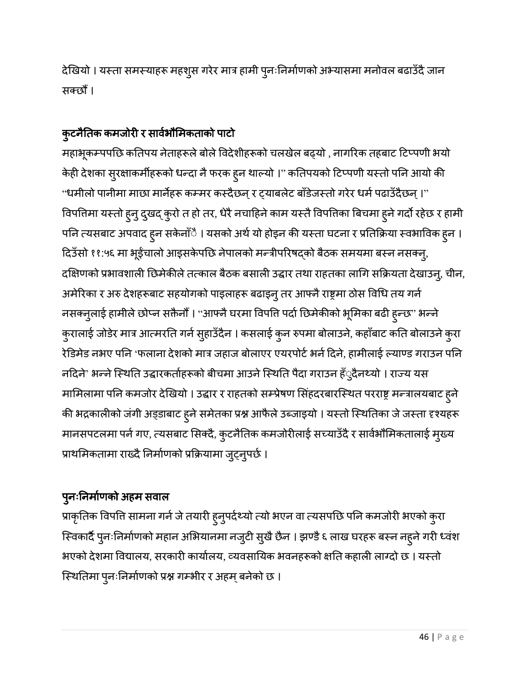देखियो । यस्ता समस्याहरू महशुस गरेर मात्र हामी पुनःनिर्माणको अभ्यासमा मनोवल बढाउँदै जान सक्छौं ।

### कुर

महाभूकम्पपछि कतिपय नेताहरूले बोले विदेशीहरूको चलखेल बढ्यो , नागरिक तहबाट टिप्पणी भयो केही देशका सुरक्षाकर्मीहरूको धन्दा नै फरक हुन थाल्यो ।'' कतिपयको टिप्पणी यस्तो पनि आयो की "धमीलो पानीमा माछा मार्नेहरू कम्मर कस्दैछन् र ट्याबलेट बाँडेजस्तो गरेर धर्म पढाउँदैछन् ।" विपतिमा यस्तो हुनु दुखद् कुरो त हो तर, धेरै नचाहिने काम यस्तै विपतिका बिचमा हुने गर्दो रहेछ र हामी पनि त्यसबाट अपवाद हुन सकेनाँै । यसको अर्थ यो होइन की यस्ता घटना र प्रतिक्रिया स्वभाविक हुन । दिउँसो ११:५६ मा भूईंचालो आइसकेपछि नेपालको मन्त्रीपरिषद्को बैठक समयमा बस्न नसक्नु, दक्षिणको प्रभावशाली छिमेकीले तत्काल बैठक बसाली उद्धार तथा राहतका लागि सक्रियता देखाउनु, चीन, अमेरिका र अरु देशहरूबाट सहयोगको पाइलाहरू बढाइनु तर आफ्नै राष्ट्रमा ठोस विधि तय गर्न नसक्नुलाई हामीले छोप्न सक्तैनोँ । "आफ्नै घरमा विपत्ति पर्दा छिमेकीको भूमिका बढी ह्न्छ" भन्ने कुरालाई जोडेर मात्र आत्मरति गर्न सुहाउँदैन । कसलाई कुन रुपमा बोलाउने, कहाँबाट कति बोलाउने कुरा रेडिमेड नभए पनि 'फलाना देशको मात्र जहाज बोलाएर एयरपोर्ट भर्न दिने, हामीलाई ल्याण्ड गराउन पनि नदिने' भन्ने स्थिति उद्धारकर्ताहरूको बीचमा आउने स्थिति पैदा गराउन हँुदैनथ्यो । राज्य यस मामिलामा पनि कमजोर देखियो । उद्धार र राहतको सम्प्रेषण सिंहदरबारस्थित परराष्ट्र मन्त्रालयबाट हुने की भद्रकालीको जंगी अड्डाबाट हुने समेतका प्रश्न आफैले उब्जाइयो । यस्तो स्थितिका जे जस्ता दृश्यहरू मानसपटलमा पर्न गए, त्यसबाट सिक्दै, कुटनैतिक कमजोरीलाई सच्याउँदै र सार्वभौमिकतालाई मुख्य प्राथमिकतामा राख्दै निर्माणको प्रक्रियामा जुट्नुपर्छ ।

### पुन

प्राकृतिक विपत्ति सामना गर्न जे तयारी हुनुपर्दथ्यो त्यो भएन वा त्यसपछि पनि कमजोरी भएको कुरा स्विकार्दै पुनःनिर्माणको महान अभियानमा नजुटी सुखै छैन । झण्डै ६ लाख घरहरू बस्न नह्ने गरी ध्वंश भएको देशमा विद्यालय, सरकारी कार्यालय, व्यवसायिक भवनहरूको क्षति कहाली लाग्दो छ । यस्तो स्थितिमा पुनःनिर्माणको प्रश्न गम्भीर र अहम् बनेको छ ।